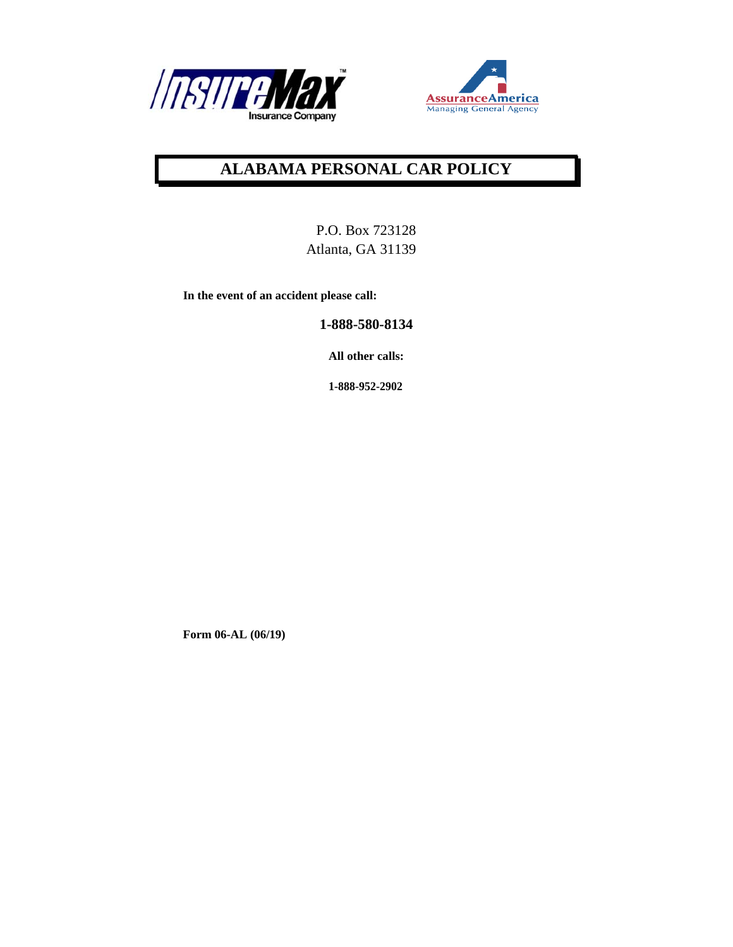



## **ALABAMA PERSONAL CAR POLICY**

P.O. Box 723128 Atlanta, GA 31139

**In the event of an accident please call:** 

**1-888-580-8134** 

**All other calls:** 

**1-888-952-2902**

**Form 06-AL (06/19)**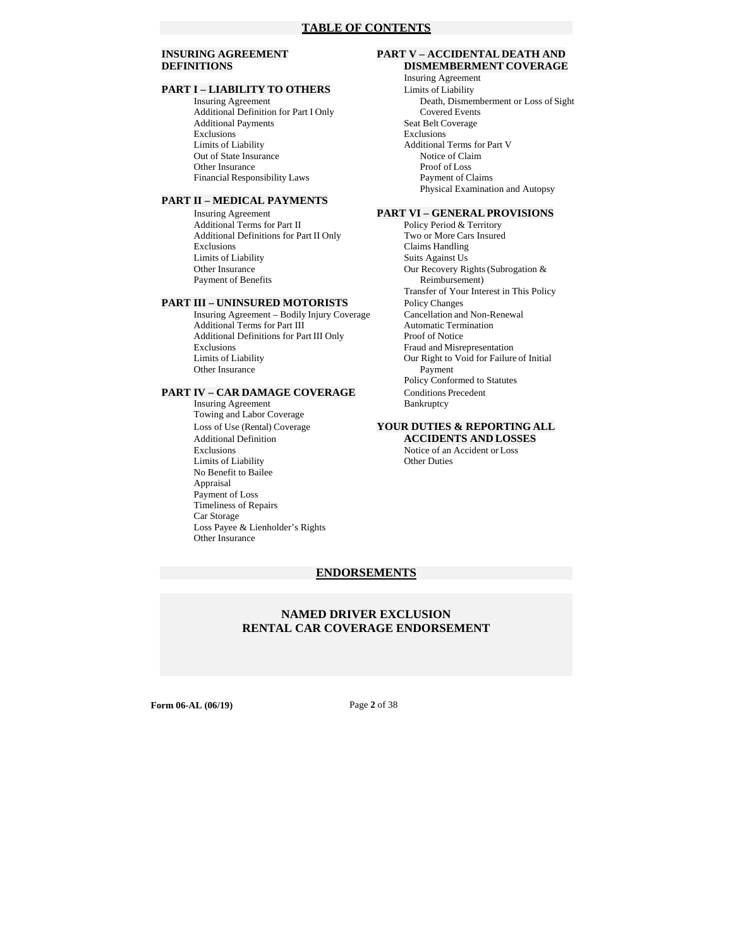# **PART I – LIABILITY TO OTHERS**<br>Insuring Agreement

Additional Definition for Part I Only Covered Events Additional Payments<br>
Exclusions<br>
Exclusions<br>
Exclusions Limits of Liability<br>
Out of State Insurance<br>
Notice of Claim<br>
Notice of Claim Out of State Insurance Other Insurance Proof of Loss<br>
Financial Responsibility Laws<br>
Payment of Claims Financial Responsibility Laws

#### **PART II – MEDICAL PAYMENTS**

**PART VI – GENERAL PROVISIONS**<br>Additional Terms for Part II Policy Period & Territory Additional Terms for Part II Policy Period & Territory<br>Additional Definitions for Part II Only Two or More Cars Insured Additional Definitions for Part II Only<br>Exclusions Limits of Liability<br>
Other Insurance<br>
Our Recovery Ri Payment of Benefits Reimbursement)

Insuring Agreement – Bodily Injury Coverage Cancellation and Non-Renewal distributional Terms for Part III Automatic Termination Additional Terms for Part III Additional Definitions for Part III Only Proof of Notice<br>Exclusions Fraud and Misro Exclusions<br>
Exclusions<br>
Fraud and Misrepresentation<br>
Our Right to Void for Failure Other Insurance

#### **PART IV – CAR DAMAGE COVERAGE** Conditions Precedent

Insuring Agreement Bankruptcy Towing and Labor Coverage Loss of Use (Rental) Coverage **YOUR DUTIES & REPORTING ALL**  Exclusions Notice of an Accident or Loss<br>
Limits of Liability Chern Duties<br>
Other Duties Limits of Liability No Benefit to Bailee Appraisal Payment of Loss Timeliness of Repairs Car Storage Loss Payee & Lienholder's Rights Other Insurance

#### **INSURING AGREEMENT PART V – ACCIDENTAL DEATH AND DEFINITIONS DISMEMBERMENT COVERAGE**

Insuring Agreement Death, Dismemberment or Loss of Sight Exclusions Exclusions Physical Examination and Autopsy

Claims Handling Our Recovery Rights (Subrogation & Transfer of Your Interest in This Policy **PART III – UNINSURED MOTORISTS** Policy Changes<br>
Insuring Agreement – Bodily Injury Coverage Cancellation and Non-Renewal Our Right to Void for Failure of Initial<br>Payment Policy Conformed to Statutes

# Additional Definition **ACCIDENTS AND LOSSES**

#### **ENDORSEMENTS**

#### **NAMED DRIVER EXCLUSION RENTAL CAR COVERAGE ENDORSEMENT**

**Form 06-AL (06/19)** Page 2 of 38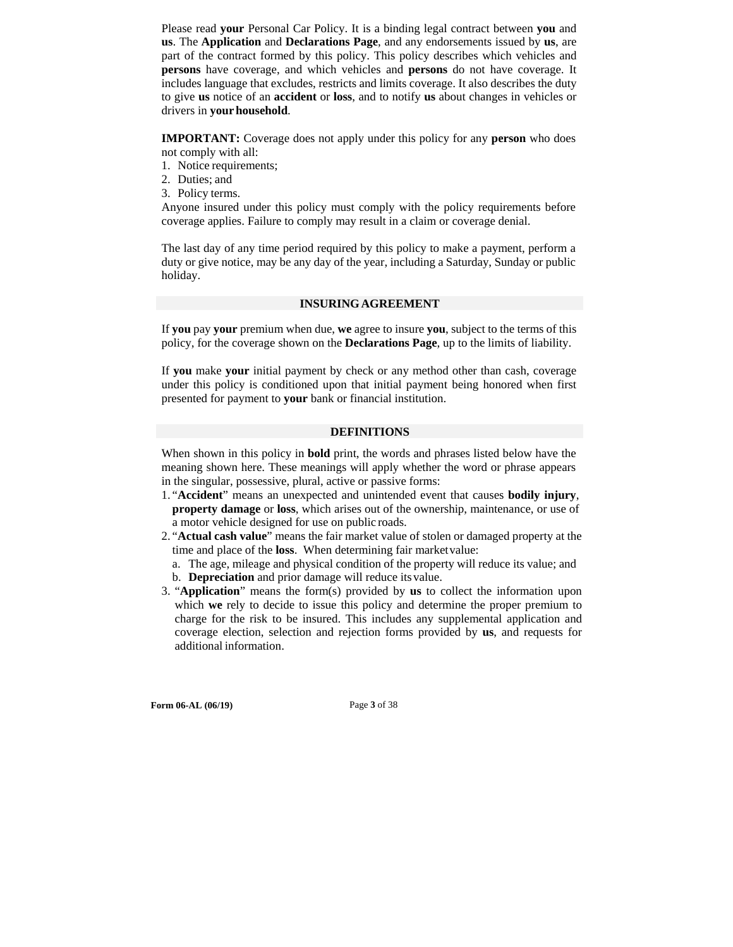Please read **your** Personal Car Policy. It is a binding legal contract between **you** and **us**. The **Application** and **Declarations Page**, and any endorsements issued by **us**, are part of the contract formed by this policy. This policy describes which vehicles and **persons** have coverage, and which vehicles and **persons** do not have coverage. It includes language that excludes, restricts and limits coverage. It also describes the duty to give **us** notice of an **accident** or **loss**, and to notify **us** about changes in vehicles or drivers in **your household**.

**IMPORTANT:** Coverage does not apply under this policy for any **person** who does not comply with all:

- 1. Notice requirements;
- 2. Duties; and
- 3. Policy terms.

Anyone insured under this policy must comply with the policy requirements before coverage applies. Failure to comply may result in a claim or coverage denial.

The last day of any time period required by this policy to make a payment, perform a duty or give notice, may be any day of the year, including a Saturday, Sunday or public holiday.

#### **INSURING AGREEMENT**

If **you** pay **your** premium when due, **we** agree to insure **you**, subject to the terms of this policy, for the coverage shown on the **Declarations Page**, up to the limits of liability.

If **you** make **your** initial payment by check or any method other than cash, coverage under this policy is conditioned upon that initial payment being honored when first presented for payment to **your** bank or financial institution.

#### **DEFINITIONS**

When shown in this policy in **bold** print, the words and phrases listed below have the meaning shown here. These meanings will apply whether the word or phrase appears in the singular, possessive, plural, active or passive forms:

- 1. "**Accident**" means an unexpected and unintended event that causes **bodily injury**, **property damage** or **loss**, which arises out of the ownership, maintenance, or use of a motor vehicle designed for use on public roads.
- 2. "**Actual cash value**" means the fair market value of stolen or damaged property at the time and place of the **loss**. When determining fair market value:
	- a. The age, mileage and physical condition of the property will reduce its value; and
	- b. **Depreciation** and prior damage will reduce its value.
- 3. "**Application**" means the form(s) provided by **us** to collect the information upon which **we** rely to decide to issue this policy and determine the proper premium to charge for the risk to be insured. This includes any supplemental application and coverage election, selection and rejection forms provided by **us**, and requests for additional information.

**Form 06-AL (06/19)** Page **3** of 38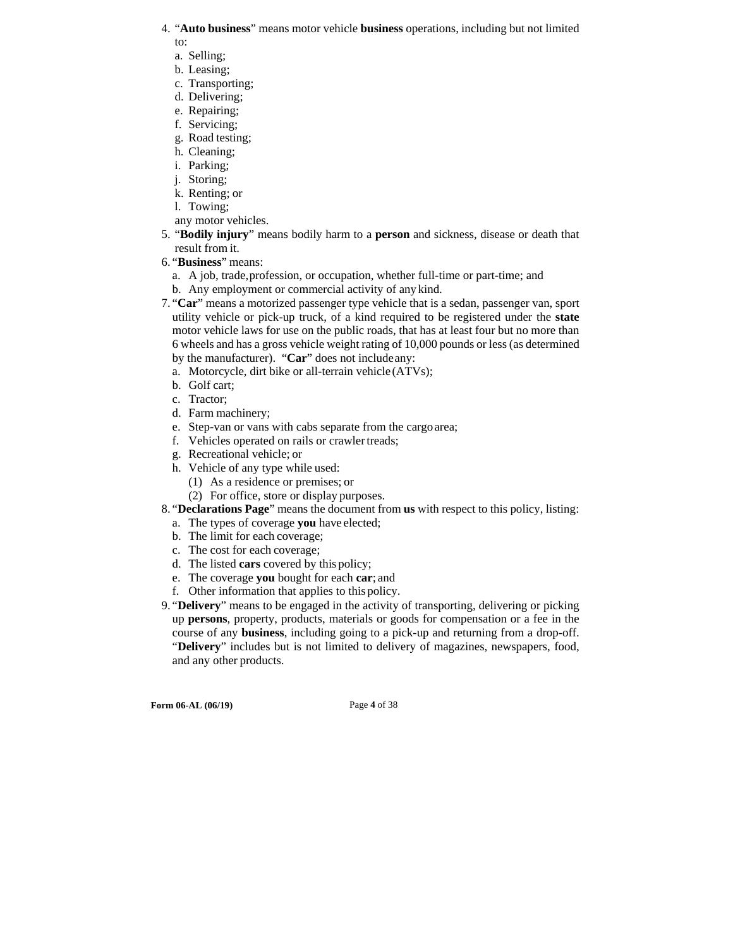- 4. "**Auto business**" means motor vehicle **business** operations, including but not limited to:
	- a. Selling;
	- b. Leasing;
	- c. Transporting;
	- d. Delivering;
	- e. Repairing;
	- f. Servicing;
	- g. Road testing;
	- h. Cleaning;
	- i. Parking;
	- j. Storing; k. Renting; or
	- l. Towing;
	- any motor vehicles.
- 5. "**Bodily injury**" means bodily harm to a **person** and sickness, disease or death that result from it.
- 6. "**Business**" means:
	- a. A job, trade, profession, or occupation, whether full-time or part-time; and
	- b. Any employment or commercial activity of any kind.
- 7. "**Car**" means a motorized passenger type vehicle that is a sedan, passenger van, sport utility vehicle or pick-up truck, of a kind required to be registered under the **state**  motor vehicle laws for use on the public roads, that has at least four but no more than 6 wheels and has a gross vehicle weight rating of 10,000 pounds or less (as determined by the manufacturer). "**Car**" does not include any:
	- a. Motorcycle, dirt bike or all-terrain vehicle (ATVs);
	- b. Golf cart;
	- c. Tractor;
	- d. Farm machinery;
	- e. Step-van or vans with cabs separate from the cargo area;
	- f. Vehicles operated on rails or crawler treads;
	- g. Recreational vehicle; or
	- h. Vehicle of any type while used:
		- (1) As a residence or premises; or
		- (2) For office, store or display purposes.
- 8. "**Declarations Page**" means the document from **us** with respect to this policy, listing:
	- a. The types of coverage **you** have elected;
	- b. The limit for each coverage;
	- c. The cost for each coverage;
	- d. The listed **cars** covered by this policy;
	- e. The coverage **you** bought for each **car**; and
	- f. Other information that applies to this policy.
- 9. "**Delivery**" means to be engaged in the activity of transporting, delivering or picking up **persons**, property, products, materials or goods for compensation or a fee in the course of any **business**, including going to a pick-up and returning from a drop-off. "**Delivery**" includes but is not limited to delivery of magazines, newspapers, food, and any other products.

**Form 06-AL (06/19)** Page **4** of 38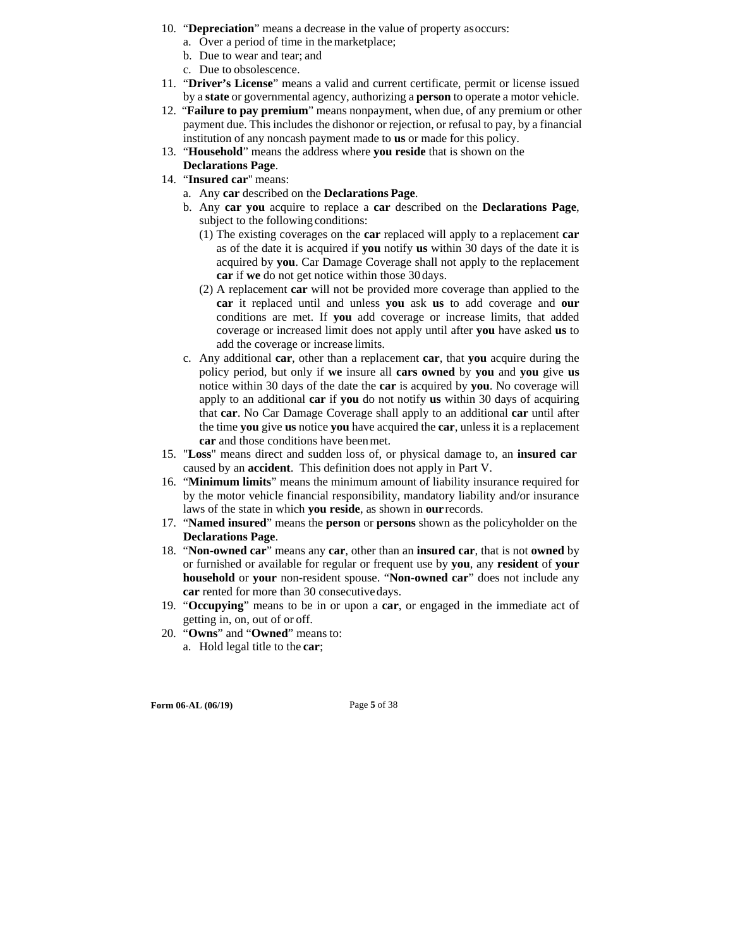- 10. "**Depreciation**" means a decrease in the value of property as occurs:
	- a. Over a period of time in the marketplace;
	- b. Due to wear and tear; and
	- c. Due to obsolescence.
- 11. "**Driver's License**" means a valid and current certificate, permit or license issued by a **state** or governmental agency, authorizing a **person** to operate a motor vehicle.
- 12. "**Failure to pay premium**" means nonpayment, when due, of any premium or other payment due. This includes the dishonor or rejection, or refusal to pay, by a financial institution of any noncash payment made to **us** or made for this policy.
- 13. "**Household**" means the address where **you reside** that is shown on the
- **Declarations Page**.
- 14. "**Insured car**" means:
	- a. Any **car** described on the **Declarations Page**.
	- b. Any **car you** acquire to replace a **car** described on the **Declarations Page**, subject to the following conditions:
		- (1) The existing coverages on the **car** replaced will apply to a replacement **car**  as of the date it is acquired if **you** notify **us** within 30 days of the date it is acquired by **you**. Car Damage Coverage shall not apply to the replacement **car** if **we** do not get notice within those 30 days.
		- (2) A replacement **car** will not be provided more coverage than applied to the **car** it replaced until and unless **you** ask **us** to add coverage and **our**  conditions are met. If **you** add coverage or increase limits, that added coverage or increased limit does not apply until after **you** have asked **us** to add the coverage or increase limits.
	- c. Any additional **car**, other than a replacement **car**, that **you** acquire during the policy period, but only if **we** insure all **cars owned** by **you** and **you** give **us**  notice within 30 days of the date the **car** is acquired by **you**. No coverage will apply to an additional **car** if **you** do not notify **us** within 30 days of acquiring that **car**. No Car Damage Coverage shall apply to an additional **car** until after the time **you** give **us** notice **you** have acquired the **car**, unless it is a replacement **car** and those conditions have been met.
- 15. "**Loss**" means direct and sudden loss of, or physical damage to, an **insured car**  caused by an **accident**. This definition does not apply in Part V.
- 16. "**Minimum limits**" means the minimum amount of liability insurance required for by the motor vehicle financial responsibility, mandatory liability and/or insurance laws of the state in which **you reside**, as shown in **our** records.
- 17. "**Named insured**" means the **person** or **persons** shown as the policyholder on the **Declarations Page**.
- 18. "**Non-owned car**" means any **car**, other than an **insured car**, that is not **owned** by or furnished or available for regular or frequent use by **you**, any **resident** of **your household** or **your** non-resident spouse. "**Non-owned car**" does not include any **car** rented for more than 30 consecutive days.
- 19. "**Occupying**" means to be in or upon a **car**, or engaged in the immediate act of getting in, on, out of or off.
- 20. "**Owns**" and "**Owned**" means to: a. Hold legal title to the **car**;

**Form 06-AL (06/19)** Page **5** of 38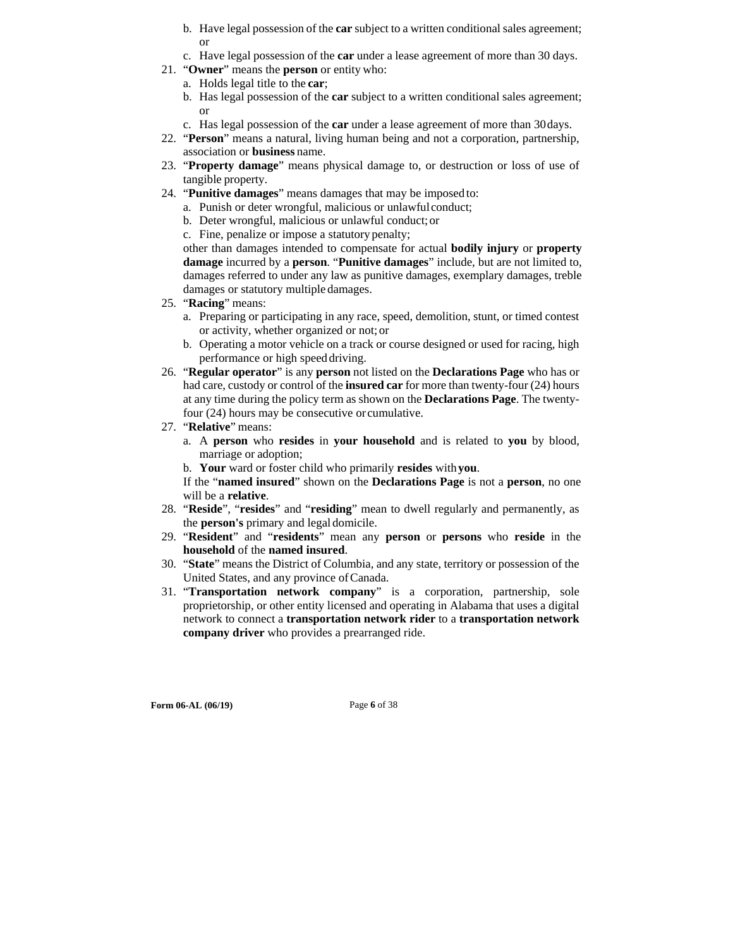- b. Have legal possession of the **car** subject to a written conditional sales agreement; or
- c. Have legal possession of the **car** under a lease agreement of more than 30 days.
- 21. "**Owner**" means the **person** or entity who:
	- a. Holds legal title to the **car**;
	- b. Has legal possession of the **car** subject to a written conditional sales agreement; or
	- c. Has legal possession of the **car** under a lease agreement of more than 30 days.
- 22. "**Person**" means a natural, living human being and not a corporation, partnership, association or **business** name.
- 23. "**Property damage**" means physical damage to, or destruction or loss of use of tangible property.
- 24. "**Punitive damages**" means damages that may be imposed to:
	- a. Punish or deter wrongful, malicious or unlawful conduct;
	- b. Deter wrongful, malicious or unlawful conduct; or
	- c. Fine, penalize or impose a statutory penalty;

other than damages intended to compensate for actual **bodily injury** or **property damage** incurred by a **person**. "**Punitive damages**" include, but are not limited to, damages referred to under any law as punitive damages, exemplary damages, treble damages or statutory multiple damages.

- 25. "**Racing**" means:
	- a. Preparing or participating in any race, speed, demolition, stunt, or timed contest or activity, whether organized or not; or
	- b. Operating a motor vehicle on a track or course designed or used for racing, high performance or high speed driving.
- 26. "**Regular operator**" is any **person** not listed on the **Declarations Page** who has or had care, custody or control of the **insured car** for more than twenty-four (24) hours at any time during the policy term as shown on the **Declarations Page**. The twentyfour (24) hours may be consecutive or cumulative.
- 27. "**Relative**" means:
	- a. A **person** who **resides** in **your household** and is related to **you** by blood, marriage or adoption;
	- b. **Your** ward or foster child who primarily **resides** with **you**.

If the "**named insured**" shown on the **Declarations Page** is not a **person**, no one will be a **relative**.

- 28. "**Reside**", "**resides**" and "**residing**" mean to dwell regularly and permanently, as the **person's** primary and legal domicile.
- 29. "**Resident**" and "**residents**" mean any **person** or **persons** who **reside** in the **household** of the **named insured**.
- 30. "**State**" means the District of Columbia, and any state, territory or possession of the United States, and any province of Canada.
- 31. "**Transportation network company**" is a corporation, partnership, sole proprietorship, or other entity licensed and operating in Alabama that uses a digital network to connect a **transportation network rider** to a **transportation network company driver** who provides a prearranged ride.

**Form 06-AL (06/19)** Page 6 of 38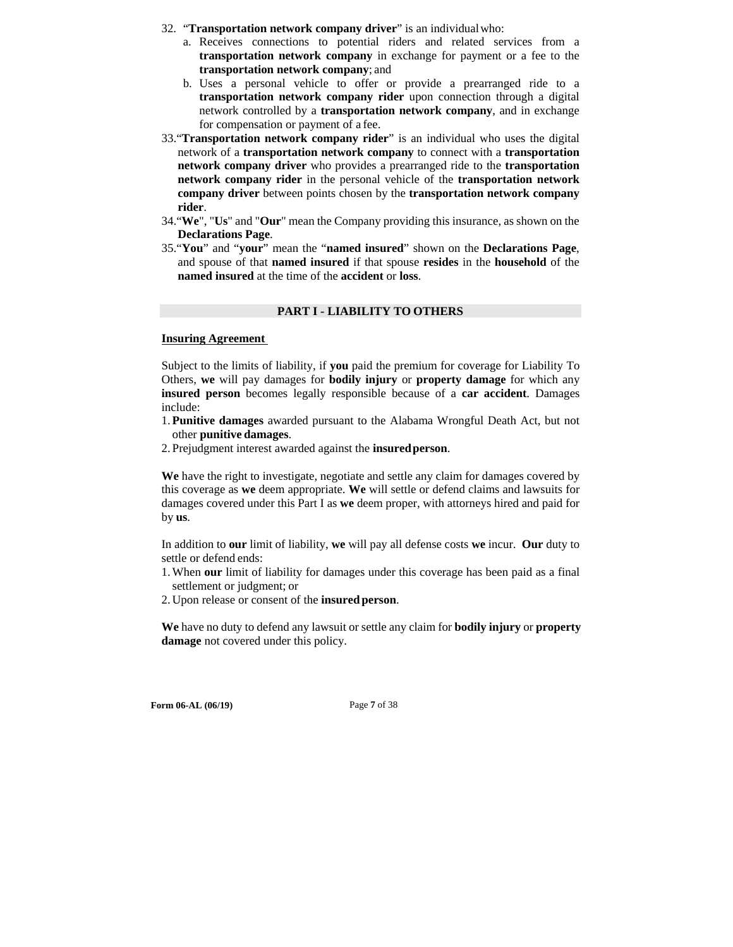- 32. "**Transportation network company driver**" is an individual who:
	- a. Receives connections to potential riders and related services from a **transportation network company** in exchange for payment or a fee to the **transportation network company**; and
	- b. Uses a personal vehicle to offer or provide a prearranged ride to a **transportation network company rider** upon connection through a digital network controlled by a **transportation network company**, and in exchange for compensation or payment of a fee.
- 33."**Transportation network company rider**" is an individual who uses the digital network of a **transportation network company** to connect with a **transportation network company driver** who provides a prearranged ride to the **transportation network company rider** in the personal vehicle of the **transportation network company driver** between points chosen by the **transportation network company rider**.
- 34."**We**", "**Us**" and "**Our**" mean the Company providing this insurance, as shown on the **Declarations Page**.
- 35."**You**" and "**your**" mean the "**named insured**" shown on the **Declarations Page**, and spouse of that **named insured** if that spouse **resides** in the **household** of the **named insured** at the time of the **accident** or **loss**.

#### **PART I - LIABILITY TO OTHERS**

#### **Insuring Agreement**

Subject to the limits of liability, if **you** paid the premium for coverage for Liability To Others, **we** will pay damages for **bodily injury** or **property damage** for which any **insured person** becomes legally responsible because of a **car accident**. Damages include:

- 1. **Punitive damages** awarded pursuant to the Alabama Wrongful Death Act, but not other **punitive damages**.
- 2. Prejudgment interest awarded against the **insured person**.

**We** have the right to investigate, negotiate and settle any claim for damages covered by this coverage as **we** deem appropriate. **We** will settle or defend claims and lawsuits for damages covered under this Part I as **we** deem proper, with attorneys hired and paid for by **us**.

In addition to **our** limit of liability, **we** will pay all defense costs **we** incur. **Our** duty to settle or defend ends:

- 1. When **our** limit of liability for damages under this coverage has been paid as a final settlement or judgment; or
- 2. Upon release or consent of the **insured person**.

**We** have no duty to defend any lawsuit or settle any claim for **bodily injury** or **property damage** not covered under this policy.

**Form 06-AL (06/19)** Page **7** of 38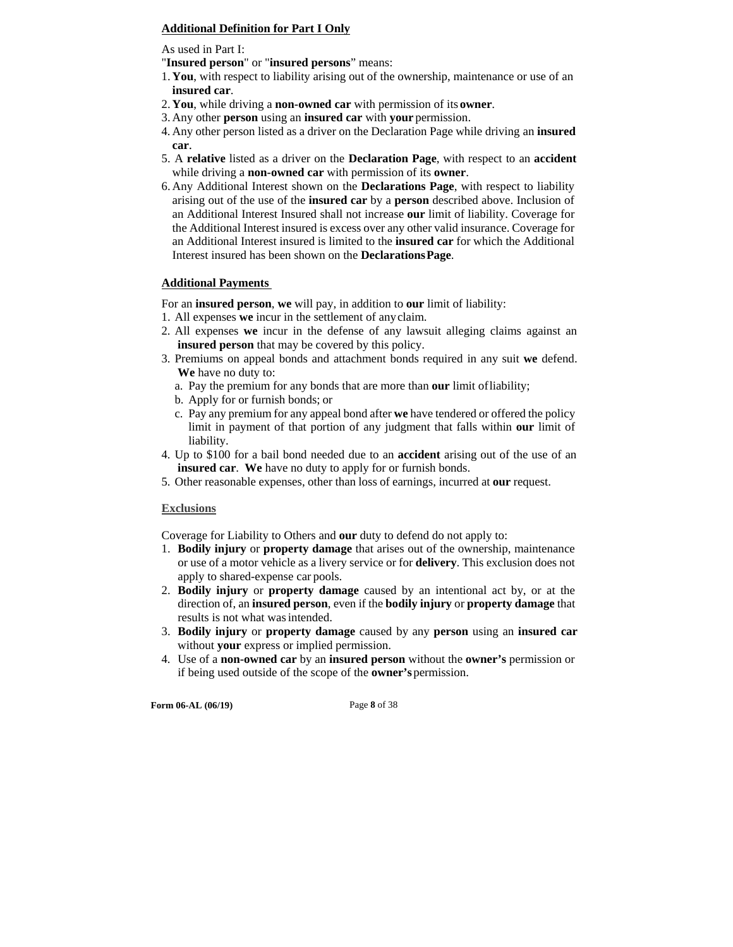#### **Additional Definition for Part I Only**

As used in Part I:

"**Insured person**" or "**insured persons**" means:

- 1. **You**, with respect to liability arising out of the ownership, maintenance or use of an **insured car**.
- 2. **You**, while driving a **non-owned car** with permission of its **owner**.
- 3. Any other **person** using an **insured car** with **your** permission.
- 4. Any other person listed as a driver on the Declaration Page while driving an **insured car**.
- 5. A **relative** listed as a driver on the **Declaration Page**, with respect to an **accident**  while driving a **non-owned car** with permission of its **owner**.
- 6. Any Additional Interest shown on the **Declarations Page**, with respect to liability arising out of the use of the **insured car** by a **person** described above. Inclusion of an Additional Interest Insured shall not increase **our** limit of liability. Coverage for the Additional Interest insured is excess over any other valid insurance. Coverage for an Additional Interest insured is limited to the **insured car** for which the Additional Interest insured has been shown on the **Declarations Page**.

#### **Additional Payments**

For an **insured person**, **we** will pay, in addition to **our** limit of liability:

- 1. All expenses **we** incur in the settlement of any claim.
- 2. All expenses **we** incur in the defense of any lawsuit alleging claims against an **insured person** that may be covered by this policy.
- 3. Premiums on appeal bonds and attachment bonds required in any suit **we** defend. **We** have no duty to:
	- a. Pay the premium for any bonds that are more than **our** limit of liability;
	- b. Apply for or furnish bonds; or
	- c. Pay any premium for any appeal bond after **we** have tendered or offered the policy limit in payment of that portion of any judgment that falls within **our** limit of liability.
- 4. Up to \$100 for a bail bond needed due to an **accident** arising out of the use of an **insured car**. **We** have no duty to apply for or furnish bonds.
- 5. Other reasonable expenses, other than loss of earnings, incurred at **our** request.

#### **Exclusions**

Coverage for Liability to Others and **our** duty to defend do not apply to:

- 1. **Bodily injury** or **property damage** that arises out of the ownership, maintenance or use of a motor vehicle as a livery service or for **delivery**. This exclusion does not apply to shared-expense car pools.
- 2. **Bodily injury** or **property damage** caused by an intentional act by, or at the direction of, an **insured person**, even if the **bodily injury** or **property damage** that results is not what was intended.
- 3. **Bodily injury** or **property damage** caused by any **person** using an **insured car**  without **your** express or implied permission.
- 4. Use of a **non-owned car** by an **insured person** without the **owner's** permission or if being used outside of the scope of the **owner's** permission.

**Form 06-AL (06/19)** Page **8** of 38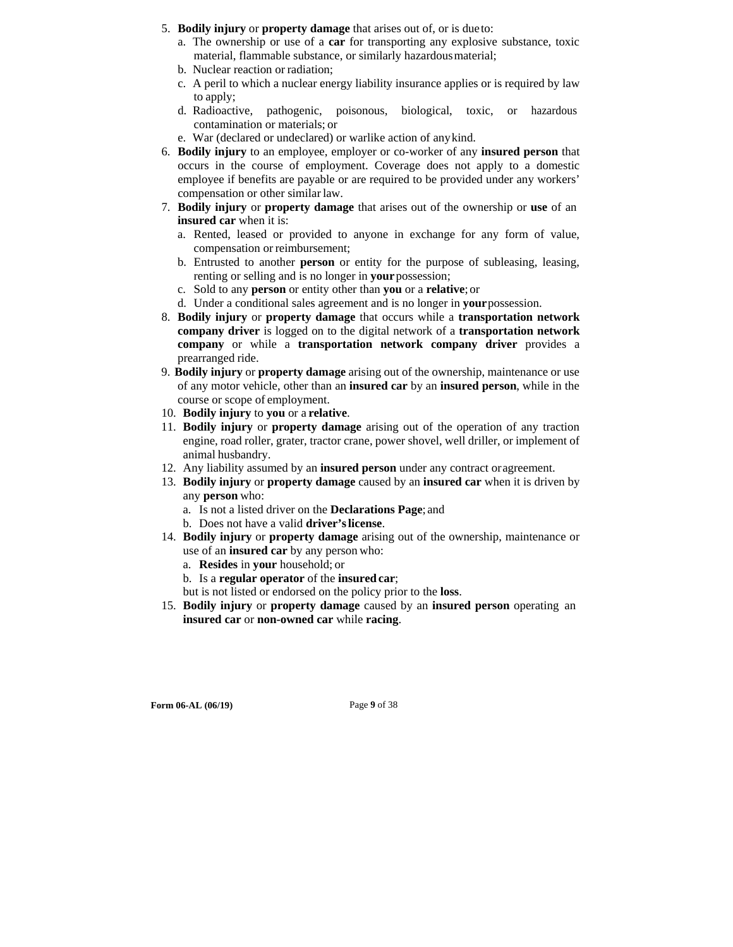- 5. **Bodily injury** or **property damage** that arises out of, or is due to:
	- a. The ownership or use of a **car** for transporting any explosive substance, toxic material, flammable substance, or similarly hazardous material;
	- b. Nuclear reaction or radiation;
	- c. A peril to which a nuclear energy liability insurance applies or is required by law to apply;
	- d. Radioactive, pathogenic, poisonous, biological, toxic, or hazardous contamination or materials; or
	- e. War (declared or undeclared) or warlike action of any kind.
- 6. **Bodily injury** to an employee, employer or co-worker of any **insured person** that occurs in the course of employment. Coverage does not apply to a domestic employee if benefits are payable or are required to be provided under any workers' compensation or other similar law.
- 7. **Bodily injury** or **property damage** that arises out of the ownership or **use** of an **insured car** when it is:
	- a. Rented, leased or provided to anyone in exchange for any form of value, compensation or reimbursement;
	- b. Entrusted to another **person** or entity for the purpose of subleasing, leasing, renting or selling and is no longer in **your** possession;
	- c. Sold to any **person** or entity other than **you** or a **relative**; or
	- d. Under a conditional sales agreement and is no longer in **your** possession.
- 8. **Bodily injury** or **property damage** that occurs while a **transportation network company driver** is logged on to the digital network of a **transportation network company** or while a **transportation network company driver** provides a prearranged ride.
- 9. **Bodily injury** or **property damage** arising out of the ownership, maintenance or use of any motor vehicle, other than an **insured car** by an **insured person**, while in the course or scope of employment.
- 10. **Bodily injury** to **you** or a **relative**.
- 11. **Bodily injury** or **property damage** arising out of the operation of any traction engine, road roller, grater, tractor crane, power shovel, well driller, or implement of animal husbandry.
- 12. Any liability assumed by an **insured person** under any contract or agreement.
- 13. **Bodily injury** or **property damage** caused by an **insured car** when it is driven by any **person** who:
	- a. Is not a listed driver on the **Declarations Page**; and
	- b. Does not have a valid **driver's license**.
- 14. **Bodily injury** or **property damage** arising out of the ownership, maintenance or use of an **insured car** by any person who:
	- a. **Resides** in **your** household; or
	- b. Is a **regular operator** of the **insured car**;
	- but is not listed or endorsed on the policy prior to the **loss**.
- 15. **Bodily injury** or **property damage** caused by an **insured person** operating an **insured car** or **non-owned car** while **racing**.

**Form 06-AL (06/19)** Page 9 of 38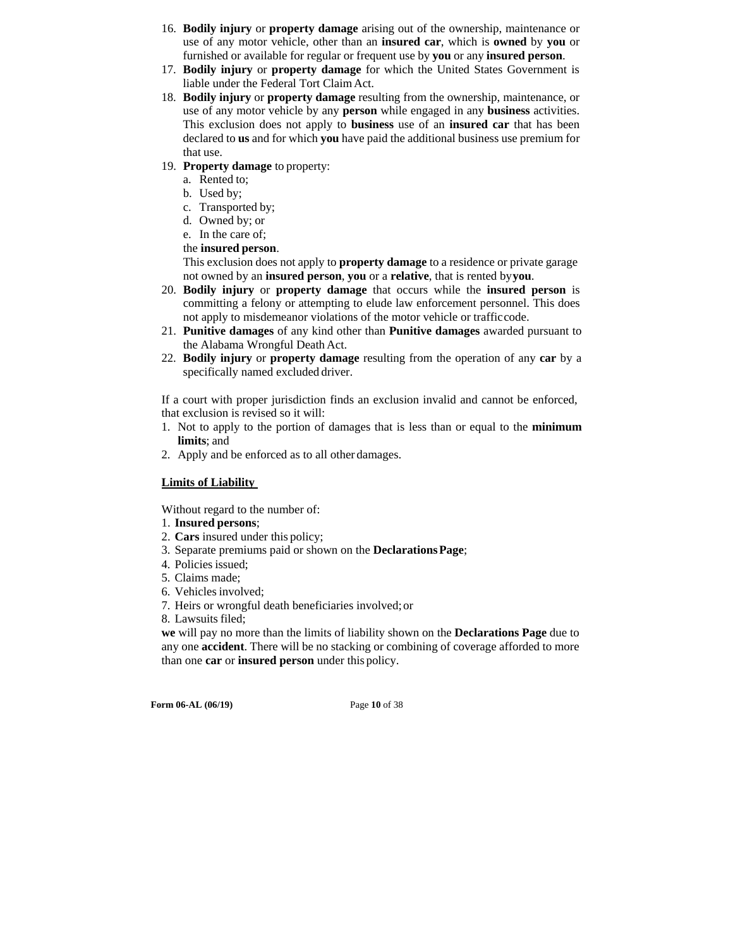- 16. **Bodily injury** or **property damage** arising out of the ownership, maintenance or use of any motor vehicle, other than an **insured car**, which is **owned** by **you** or furnished or available for regular or frequent use by **you** or any **insured person**.
- 17. **Bodily injury** or **property damage** for which the United States Government is liable under the Federal Tort Claim Act.
- 18. **Bodily injury** or **property damage** resulting from the ownership, maintenance, or use of any motor vehicle by any **person** while engaged in any **business** activities. This exclusion does not apply to **business** use of an **insured car** that has been declared to **us** and for which **you** have paid the additional business use premium for that use.
- 19. **Property damage** to property:
	- a. Rented to;
	- b. Used by;
	- c. Transported by;
	- d. Owned by; or
	- e. In the care of;
	- the **insured person**.

This exclusion does not apply to **property damage** to a residence or private garage not owned by an **insured person**, **you** or a **relative**, that is rented by **you**.

- 20. **Bodily injury** or **property damage** that occurs while the **insured person** is committing a felony or attempting to elude law enforcement personnel. This does not apply to misdemeanor violations of the motor vehicle or traffic code.
- 21. **Punitive damages** of any kind other than **Punitive damages** awarded pursuant to the Alabama Wrongful Death Act.
- 22. **Bodily injury** or **property damage** resulting from the operation of any **car** by a specifically named excluded driver.

If a court with proper jurisdiction finds an exclusion invalid and cannot be enforced, that exclusion is revised so it will:

- 1. Not to apply to the portion of damages that is less than or equal to the **minimum limits**; and
- 2. Apply and be enforced as to all other damages.

### **Limits of Liability**

Without regard to the number of:

- 1. **Insured persons**;
- 2. **Cars** insured under this policy;
- 3. Separate premiums paid or shown on the **Declarations Page**;
- 4. Policies issued;
- 5. Claims made;
- 6. Vehicles involved;
- 7. Heirs or wrongful death beneficiaries involved; or
- 8. Lawsuits filed;

**we** will pay no more than the limits of liability shown on the **Declarations Page** due to any one **accident**. There will be no stacking or combining of coverage afforded to more than one **car** or **insured person** under this policy.

**Form 06-AL (06/19)** Page **10** of 38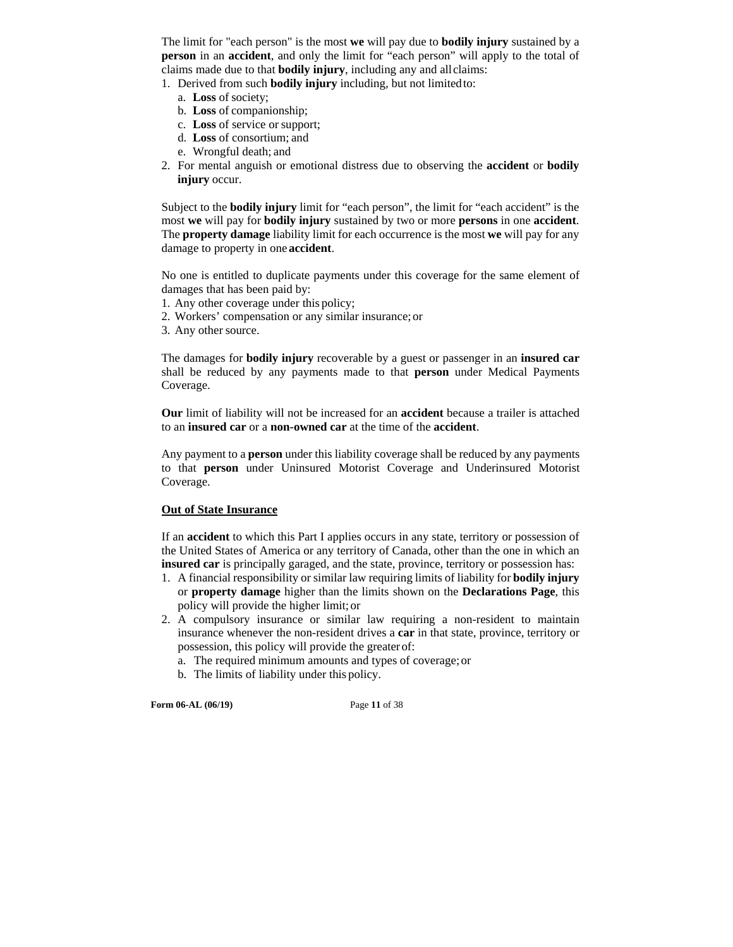The limit for "each person" is the most **we** will pay due to **bodily injury** sustained by a **person** in an **accident**, and only the limit for "each person" will apply to the total of claims made due to that **bodily injury**, including any and all claims:

1. Derived from such **bodily injury** including, but not limited to:

- a. **Loss** of society;
- b. **Loss** of companionship;
- c. **Loss** of service or support;
- d. **Loss** of consortium; and
- e. Wrongful death; and
- 2. For mental anguish or emotional distress due to observing the **accident** or **bodily injury** occur.

Subject to the **bodily injury** limit for "each person", the limit for "each accident" is the most **we** will pay for **bodily injury** sustained by two or more **persons** in one **accident**. The **property damage** liability limit for each occurrence is the most **we** will pay for any damage to property in one **accident**.

No one is entitled to duplicate payments under this coverage for the same element of damages that has been paid by:

- 1. Any other coverage under this policy;
- 2. Workers' compensation or any similar insurance; or
- 3. Any other source.

The damages for **bodily injury** recoverable by a guest or passenger in an **insured car**  shall be reduced by any payments made to that **person** under Medical Payments Coverage.

**Our** limit of liability will not be increased for an **accident** because a trailer is attached to an **insured car** or a **non-owned car** at the time of the **accident**.

Any payment to a **person** under this liability coverage shall be reduced by any payments to that **person** under Uninsured Motorist Coverage and Underinsured Motorist Coverage.

### **Out of State Insurance**

If an **accident** to which this Part I applies occurs in any state, territory or possession of the United States of America or any territory of Canada, other than the one in which an **insured car** is principally garaged, and the state, province, territory or possession has:

- 1. A financial responsibility or similar law requiring limits of liability for **bodily injury**  or **property damage** higher than the limits shown on the **Declarations Page**, this policy will provide the higher limit; or
- 2. A compulsory insurance or similar law requiring a non-resident to maintain insurance whenever the non-resident drives a **car** in that state, province, territory or possession, this policy will provide the greater of:
	- a. The required minimum amounts and types of coverage; or
	- b. The limits of liability under this policy.

**Form 06-AL (06/19)** Page **11** of 38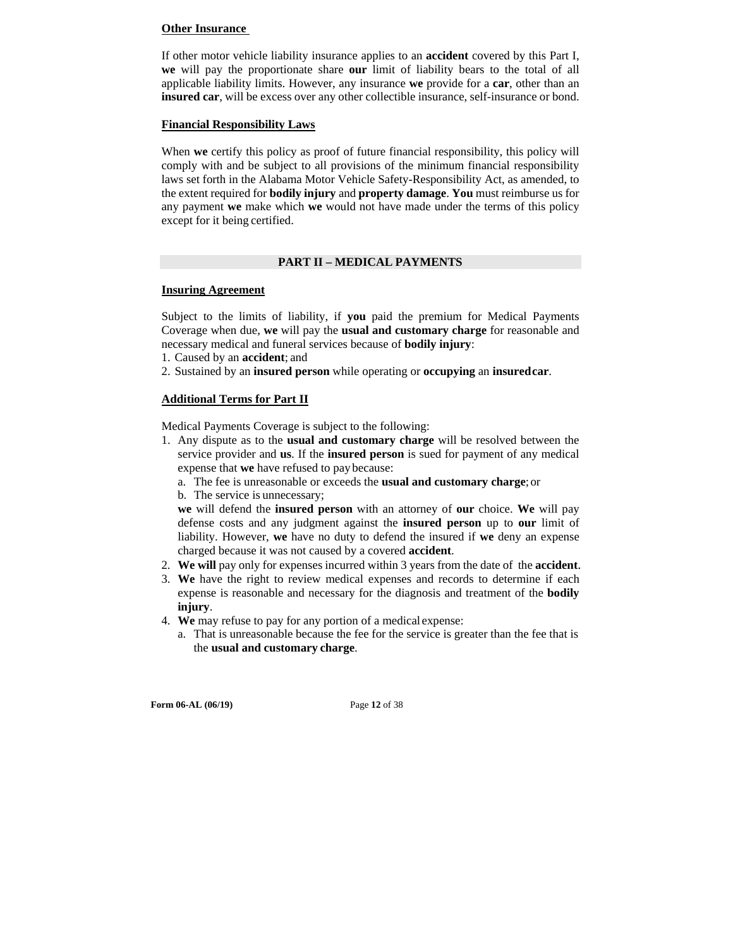#### **Other Insurance**

If other motor vehicle liability insurance applies to an **accident** covered by this Part I, **we** will pay the proportionate share **our** limit of liability bears to the total of all applicable liability limits. However, any insurance **we** provide for a **car**, other than an **insured car**, will be excess over any other collectible insurance, self-insurance or bond.

#### **Financial Responsibility Laws**

When **we** certify this policy as proof of future financial responsibility, this policy will comply with and be subject to all provisions of the minimum financial responsibility laws set forth in the Alabama Motor Vehicle Safety-Responsibility Act, as amended, to the extent required for **bodily injury** and **property damage**. **You** must reimburse us for any payment **we** make which **we** would not have made under the terms of this policy except for it being certified.

#### **PART II – MEDICAL PAYMENTS**

#### **Insuring Agreement**

Subject to the limits of liability, if **you** paid the premium for Medical Payments Coverage when due, **we** will pay the **usual and customary charge** for reasonable and necessary medical and funeral services because of **bodily injury**:

- 1. Caused by an **accident**; and
- 2. Sustained by an **insured person** while operating or **occupying** an **insured car**.

#### **Additional Terms for Part II**

Medical Payments Coverage is subject to the following:

- 1. Any dispute as to the **usual and customary charge** will be resolved between the service provider and **us**. If the **insured person** is sued for payment of any medical expense that **we** have refused to pay because:
	- a. The fee is unreasonable or exceeds the **usual and customary charge**; or
	- b. The service is unnecessary;

**we** will defend the **insured person** with an attorney of **our** choice. **We** will pay defense costs and any judgment against the **insured person** up to **our** limit of liability. However, **we** have no duty to defend the insured if **we** deny an expense charged because it was not caused by a covered **accident**.

- 2. **We will** pay only for expenses incurred within 3 years from the date of the **accident**.
- 3. **We** have the right to review medical expenses and records to determine if each expense is reasonable and necessary for the diagnosis and treatment of the **bodily injury**.
- 4. **We** may refuse to pay for any portion of a medical expense:
	- a. That is unreasonable because the fee for the service is greater than the fee that is the **usual and customary charge**.

**Form 06-AL (06/19)** Page **12** of 38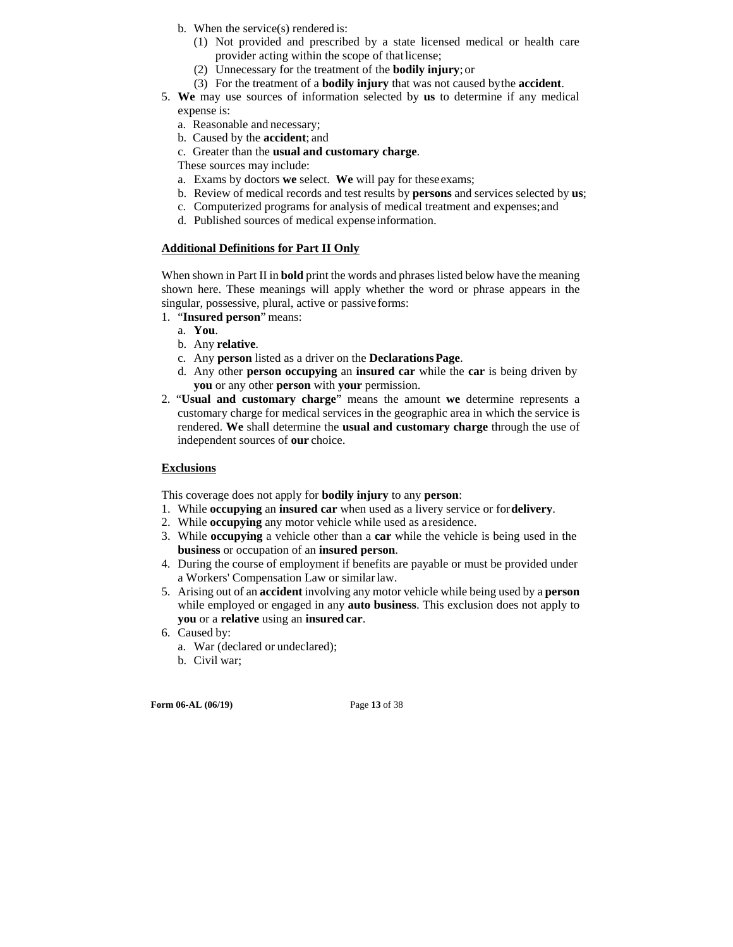- b. When the service(s) rendered is:
	- (1) Not provided and prescribed by a state licensed medical or health care provider acting within the scope of that license;
	- (2) Unnecessary for the treatment of the **bodily injury**; or
	- (3) For the treatment of a **bodily injury** that was not caused by the **accident**.
- 5. **We** may use sources of information selected by **us** to determine if any medical expense is:
	- a. Reasonable and necessary;
	- b. Caused by the **accident**; and
	- c. Greater than the **usual and customary charge**.
	- These sources may include:
	- a. Exams by doctors **we** select. **We** will pay for these exams;
	- b. Review of medical records and test results by **persons** and services selected by **us**;
	- c. Computerized programs for analysis of medical treatment and expenses; and
	- d. Published sources of medical expense information.

#### **Additional Definitions for Part II Only**

When shown in Part II in **bold** print the words and phrases listed below have the meaning shown here. These meanings will apply whether the word or phrase appears in the singular, possessive, plural, active or passive forms:

- 1. "**Insured person**" means:
	- a. **You**.
	- b. Any **relative**.
	- c. Any **person** listed as a driver on the **Declarations Page**.
	- d. Any other **person occupying** an **insured car** while the **car** is being driven by **you** or any other **person** with **your** permission.
- 2. "**Usual and customary charge**" means the amount **we** determine represents a customary charge for medical services in the geographic area in which the service is rendered. **We** shall determine the **usual and customary charge** through the use of independent sources of **our** choice.

#### **Exclusions**

This coverage does not apply for **bodily injury** to any **person**:

- 1. While **occupying** an **insured car** when used as a livery service or for **delivery**.
- 2. While **occupying** any motor vehicle while used as a residence.
- 3. While **occupying** a vehicle other than a **car** while the vehicle is being used in the **business** or occupation of an **insured person**.
- 4. During the course of employment if benefits are payable or must be provided under a Workers' Compensation Law or similar law.
- 5. Arising out of an **accident** involving any motor vehicle while being used by a **person**  while employed or engaged in any **auto business**. This exclusion does not apply to **you** or a **relative** using an **insured car**.
- 6. Caused by:
	- a. War (declared or undeclared);
	- b. Civil war;

**Form 06-AL (06/19)** Page **13** of 38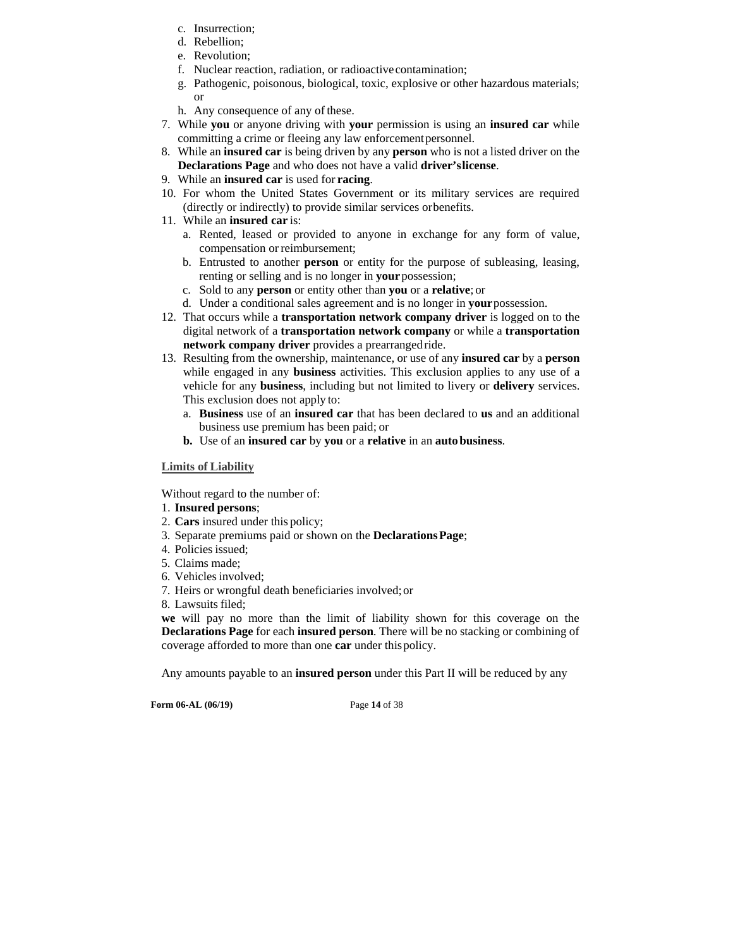- c. Insurrection;
- d. Rebellion;
- e. Revolution;
- f. Nuclear reaction, radiation, or radioactive contamination;
- g. Pathogenic, poisonous, biological, toxic, explosive or other hazardous materials; or
- h. Any consequence of any of these.
- 7. While **you** or anyone driving with **your** permission is using an **insured car** while committing a crime or fleeing any law enforcement personnel.
- 8. While an **insured car** is being driven by any **person** who is not a listed driver on the **Declarations Page** and who does not have a valid **driver's license**.
- 9. While an **insured car** is used for **racing**.
- 10. For whom the United States Government or its military services are required (directly or indirectly) to provide similar services or benefits.
- 11. While an **insured car** is:
	- a. Rented, leased or provided to anyone in exchange for any form of value, compensation or reimbursement;
	- b. Entrusted to another **person** or entity for the purpose of subleasing, leasing, renting or selling and is no longer in **your** possession;
	- c. Sold to any **person** or entity other than **you** or a **relative**; or
	- d. Under a conditional sales agreement and is no longer in **your** possession.
- 12. That occurs while a **transportation network company driver** is logged on to the digital network of a **transportation network company** or while a **transportation network company driver** provides a prearranged ride.
- 13. Resulting from the ownership, maintenance, or use of any **insured car** by a **person**  while engaged in any **business** activities. This exclusion applies to any use of a vehicle for any **business**, including but not limited to livery or **delivery** services. This exclusion does not apply to:
	- a. **Business** use of an **insured car** that has been declared to **us** and an additional business use premium has been paid; or
	- **b.** Use of an **insured car** by **you** or a **relative** in an **auto business**.

### **Limits of Liability**

Without regard to the number of:

- 1. **Insured persons**;
- 2. **Cars** insured under this policy;
- 3. Separate premiums paid or shown on the **Declarations Page**;
- 4. Policies issued;
- 5. Claims made;
- 6. Vehicles involved;
- 7. Heirs or wrongful death beneficiaries involved; or
- 8. Lawsuits filed;

**we** will pay no more than the limit of liability shown for this coverage on the **Declarations Page** for each **insured person**. There will be no stacking or combining of coverage afforded to more than one **car** under this policy.

Any amounts payable to an **insured person** under this Part II will be reduced by any

**Form 06-AL (06/19)** Page **14** of 38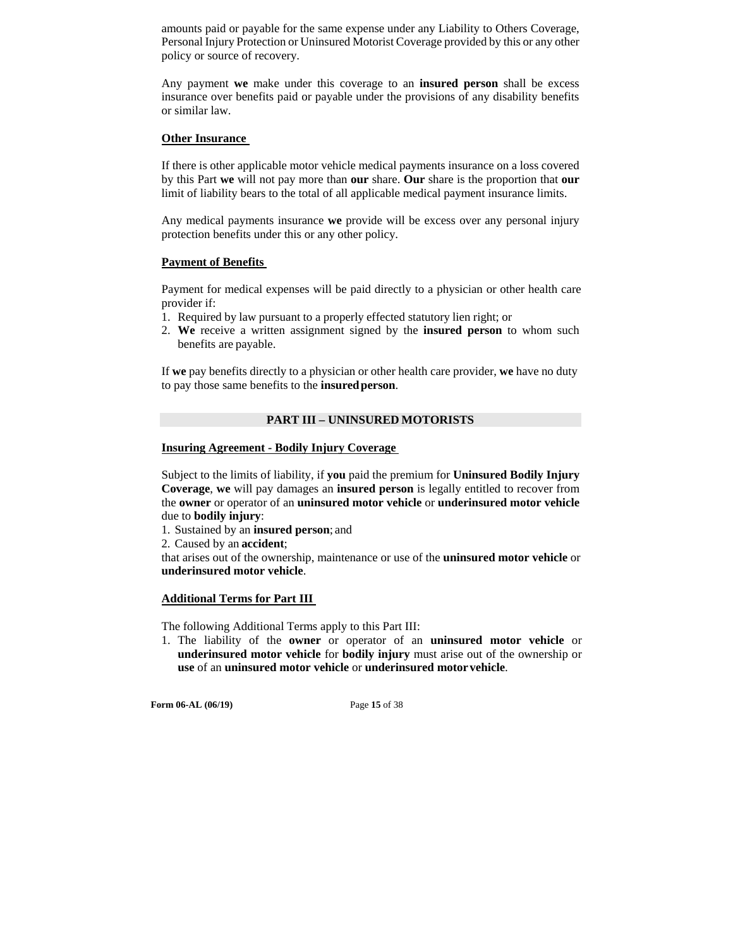amounts paid or payable for the same expense under any Liability to Others Coverage, Personal Injury Protection or Uninsured Motorist Coverage provided by this or any other policy or source of recovery.

Any payment **we** make under this coverage to an **insured person** shall be excess insurance over benefits paid or payable under the provisions of any disability benefits or similar law.

#### **Other Insurance**

If there is other applicable motor vehicle medical payments insurance on a loss covered by this Part **we** will not pay more than **our** share. **Our** share is the proportion that **our**  limit of liability bears to the total of all applicable medical payment insurance limits.

Any medical payments insurance **we** provide will be excess over any personal injury protection benefits under this or any other policy.

#### **Payment of Benefits**

Payment for medical expenses will be paid directly to a physician or other health care provider if:

- 1. Required by law pursuant to a properly effected statutory lien right; or
- 2. **We** receive a written assignment signed by the **insured person** to whom such benefits are payable.

If **we** pay benefits directly to a physician or other health care provider, **we** have no duty to pay those same benefits to the **insured person**.

#### **PART III – UNINSURED MOTORISTS**

#### **Insuring Agreement - Bodily Injury Coverage**

Subject to the limits of liability, if **you** paid the premium for **Uninsured Bodily Injury Coverage**, **we** will pay damages an **insured person** is legally entitled to recover from the **owner** or operator of an **uninsured motor vehicle** or **underinsured motor vehicle**  due to **bodily injury**:

1. Sustained by an **insured person**; and

2. Caused by an **accident**;

that arises out of the ownership, maintenance or use of the **uninsured motor vehicle** or **underinsured motor vehicle**.

### **Additional Terms for Part III**

The following Additional Terms apply to this Part III:

1. The liability of the **owner** or operator of an **uninsured motor vehicle** or **underinsured motor vehicle** for **bodily injury** must arise out of the ownership or **use** of an **uninsured motor vehicle** or **underinsured motor vehicle**.

**Form 06-AL (06/19)** Page **15** of 38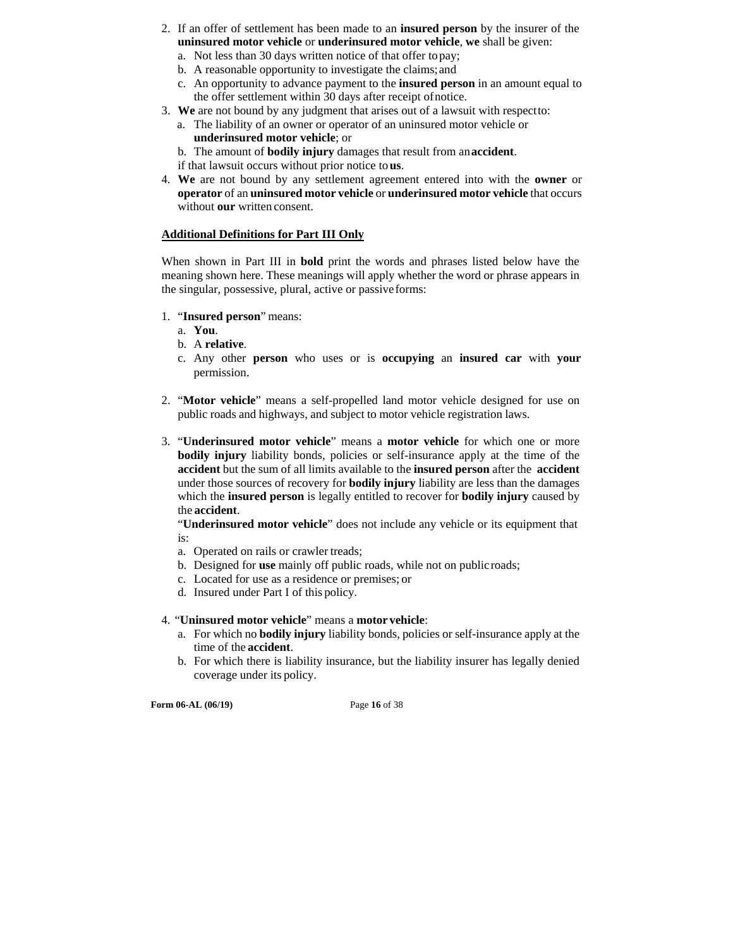- 2. If an offer of settlement has been made to an **insured person** by the insurer of the **uninsured motor vehicle** or **underinsured motor vehicle**, **we** shall be given:
	- a. Not less than 30 days written notice of that offer to pay; b. A reasonable opportunity to investigate the claims; and
	- c. An opportunity to advance payment to the **insured person** in an amount equal to the offer settlement within 30 days after receipt of notice.
- 3. **We** are not bound by any judgment that arises out of a lawsuit with respect to:
	- a. The liability of an owner or operator of an uninsured motor vehicle or **underinsured motor vehicle**; or

b. The amount of **bodily injury** damages that result from an **accident**.

- if that lawsuit occurs without prior notice to **us**.
- 4. **We** are not bound by any settlement agreement entered into with the **owner** or **operator** of an **uninsured motor vehicle** or **underinsured motor vehicle** that occurs without **our** written consent.

### **Additional Definitions for Part III Only**

When shown in Part III in **bold** print the words and phrases listed below have the meaning shown here. These meanings will apply whether the word or phrase appears in the singular, possessive, plural, active or passive forms:

- 1. "**Insured person**" means:
	- a. **You**.
	- b. A **relative**.
	- c. Any other **person** who uses or is **occupying** an **insured car** with **your**  permission.
- 2. "**Motor vehicle**" means a self-propelled land motor vehicle designed for use on public roads and highways, and subject to motor vehicle registration laws.
- 3. "**Underinsured motor vehicle**" means a **motor vehicle** for which one or more **bodily injury** liability bonds, policies or self-insurance apply at the time of the **accident** but the sum of all limits available to the **insured person** after the **accident**  under those sources of recovery for **bodily injury** liability are less than the damages which the **insured person** is legally entitled to recover for **bodily injury** caused by the **accident**.

"**Underinsured motor vehicle**" does not include any vehicle or its equipment that is:

- a. Operated on rails or crawler treads;
- b. Designed for **use** mainly off public roads, while not on public roads;
- c. Located for use as a residence or premises; or
- d. Insured under Part I of this policy.
- 4. "**Uninsured motor vehicle**" means a **motor vehicle**:
	- a. For which no **bodily injury** liability bonds, policies or self-insurance apply at the time of the **accident**.
	- b. For which there is liability insurance, but the liability insurer has legally denied coverage under its policy.

**Form 06-AL (06/19)** Page **16** of 38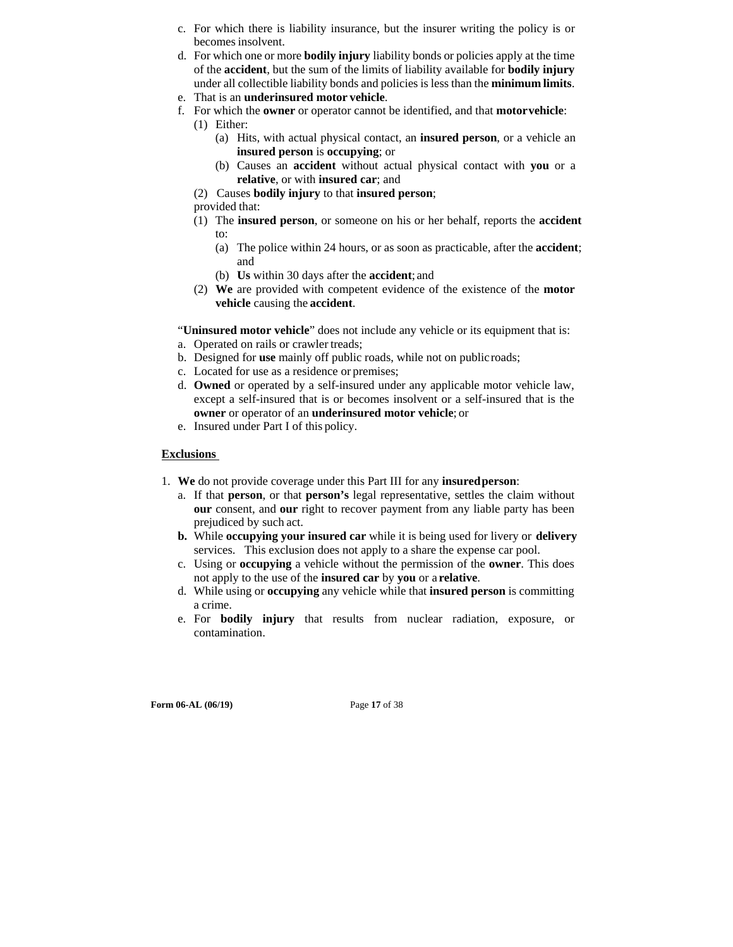- c. For which there is liability insurance, but the insurer writing the policy is or becomes insolvent.
- d. For which one or more **bodily injury** liability bonds or policies apply at the time of the **accident**, but the sum of the limits of liability available for **bodily injury**  under all collectible liability bonds and policies is less than the **minimum limits**.
- e. That is an **underinsured motor vehicle**.
- f. For which the **owner** or operator cannot be identified, and that **motor vehicle**:
	- (1) Either:
		- (a) Hits, with actual physical contact, an **insured person**, or a vehicle an **insured person** is **occupying**; or
		- (b) Causes an **accident** without actual physical contact with **you** or a **relative**, or with **insured car**; and
	- (2) Causes **bodily injury** to that **insured person**;
	- provided that:
	- (1) The **insured person**, or someone on his or her behalf, reports the **accident**  to:
		- (a) The police within 24 hours, or as soon as practicable, after the **accident**; and
		- (b) **Us** within 30 days after the **accident**; and
	- (2) **We** are provided with competent evidence of the existence of the **motor vehicle** causing the **accident**.

"**Uninsured motor vehicle**" does not include any vehicle or its equipment that is:

- a. Operated on rails or crawler treads;
- b. Designed for **use** mainly off public roads, while not on public roads;
- c. Located for use as a residence or premises;
- d. **Owned** or operated by a self-insured under any applicable motor vehicle law, except a self-insured that is or becomes insolvent or a self-insured that is the **owner** or operator of an **underinsured motor vehicle**; or
- e. Insured under Part I of this policy.

#### **Exclusions**

- 1. **We** do not provide coverage under this Part III for any **insured person**:
	- a. If that **person**, or that **person's** legal representative, settles the claim without **our** consent, and **our** right to recover payment from any liable party has been prejudiced by such act.
	- **b.** While **occupying your insured car** while it is being used for livery or **delivery**  services. This exclusion does not apply to a share the expense car pool.
	- c. Using or **occupying** a vehicle without the permission of the **owner**. This does not apply to the use of the **insured car** by **you** or a **relative**.
	- d. While using or **occupying** any vehicle while that **insured person** is committing a crime.
	- e. For **bodily injury** that results from nuclear radiation, exposure, or contamination.

**Form 06-AL (06/19)** Page 17 of 38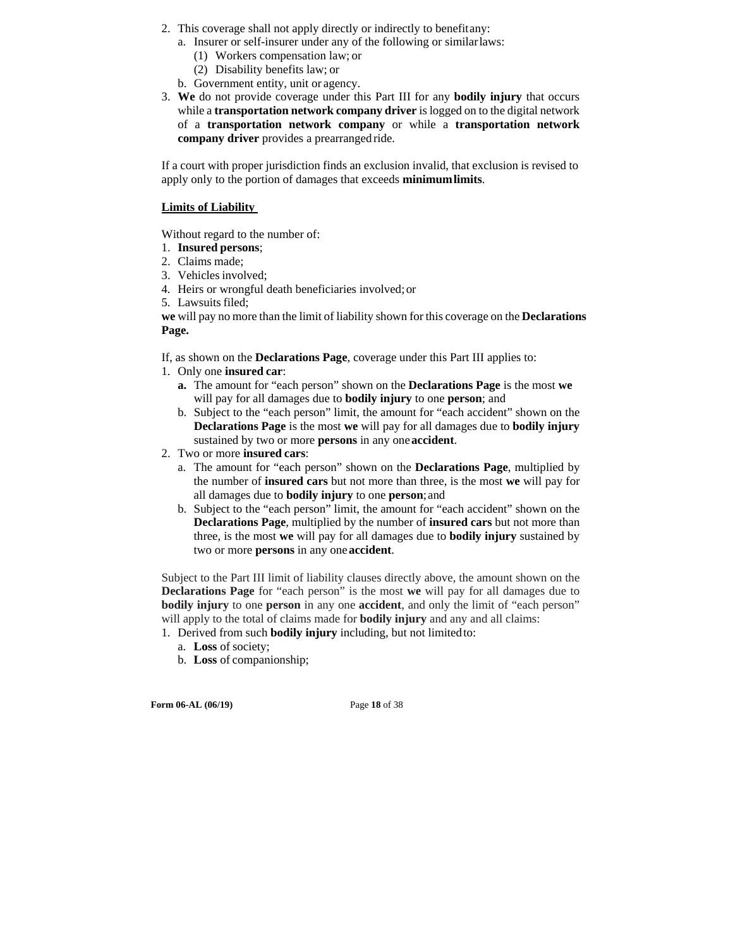- 2. This coverage shall not apply directly or indirectly to benefit any:
	- a. Insurer or self-insurer under any of the following or similar laws:
		- (1) Workers compensation law; or
		- (2) Disability benefits law; or
	- b. Government entity, unit or agency.
- 3. **We** do not provide coverage under this Part III for any **bodily injury** that occurs while a **transportation network company driver** is logged on to the digital network of a **transportation network company** or while a **transportation network company driver** provides a prearranged ride.

If a court with proper jurisdiction finds an exclusion invalid, that exclusion is revised to apply only to the portion of damages that exceeds **minimum limits**.

#### **Limits of Liability**

Without regard to the number of:

- 1. **Insured persons**;
- 2. Claims made;
- 3. Vehicles involved;
- 4. Heirs or wrongful death beneficiaries involved; or
- 5. Lawsuits filed;

**we** will pay no more than the limit of liability shown for this coverage on the **Declarations Page.** 

If, as shown on the **Declarations Page**, coverage under this Part III applies to:

- 1. Only one **insured car**:
	- **a.** The amount for "each person" shown on the **Declarations Page** is the most **we**  will pay for all damages due to **bodily injury** to one **person**; and
	- b. Subject to the "each person" limit, the amount for "each accident" shown on the **Declarations Page** is the most **we** will pay for all damages due to **bodily injury**  sustained by two or more **persons** in any one **accident**.
- 2. Two or more **insured cars**:
	- a. The amount for "each person" shown on the **Declarations Page**, multiplied by the number of **insured cars** but not more than three, is the most **we** will pay for all damages due to **bodily injury** to one **person**; and
	- b. Subject to the "each person" limit, the amount for "each accident" shown on the **Declarations Page**, multiplied by the number of **insured cars** but not more than three, is the most **we** will pay for all damages due to **bodily injury** sustained by two or more **persons** in any one **accident**.

Subject to the Part III limit of liability clauses directly above, the amount shown on the **Declarations Page** for "each person" is the most **we** will pay for all damages due to **bodily injury** to one **person** in any one **accident**, and only the limit of "each person" will apply to the total of claims made for **bodily injury** and any and all claims:

1. Derived from such **bodily injury** including, but not limited to:

- a. **Loss** of society;
- b. **Loss** of companionship;

**Form 06-AL (06/19)** Page **18** of 38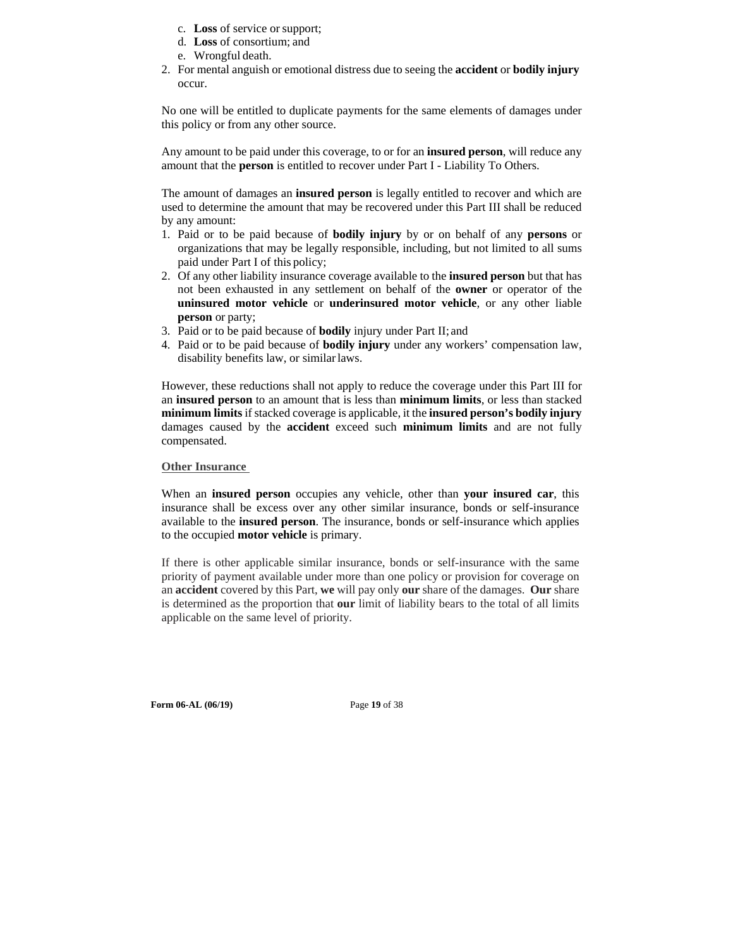- c. **Loss** of service or support;
- d. **Loss** of consortium; and
- e. Wrongful death.
- 2. For mental anguish or emotional distress due to seeing the **accident** or **bodily injury**  occur.

No one will be entitled to duplicate payments for the same elements of damages under this policy or from any other source.

Any amount to be paid under this coverage, to or for an **insured person**, will reduce any amount that the **person** is entitled to recover under Part I - Liability To Others.

The amount of damages an **insured person** is legally entitled to recover and which are used to determine the amount that may be recovered under this Part III shall be reduced by any amount:

- 1. Paid or to be paid because of **bodily injury** by or on behalf of any **persons** or organizations that may be legally responsible, including, but not limited to all sums paid under Part I of this policy;
- 2. Of any other liability insurance coverage available to the **insured person** but that has not been exhausted in any settlement on behalf of the **owner** or operator of the **uninsured motor vehicle** or **underinsured motor vehicle**, or any other liable **person** or party;
- 3. Paid or to be paid because of **bodily** injury under Part II; and
- 4. Paid or to be paid because of **bodily injury** under any workers' compensation law, disability benefits law, or similar laws.

However, these reductions shall not apply to reduce the coverage under this Part III for an **insured person** to an amount that is less than **minimum limits**, or less than stacked **minimum limits** if stacked coverage is applicable, it the **insured person's bodily injury**  damages caused by the **accident** exceed such **minimum limits** and are not fully compensated.

#### **Other Insurance**

When an **insured person** occupies any vehicle, other than **your insured car**, this insurance shall be excess over any other similar insurance, bonds or self-insurance available to the **insured person**. The insurance, bonds or self-insurance which applies to the occupied **motor vehicle** is primary.

If there is other applicable similar insurance, bonds or self-insurance with the same priority of payment available under more than one policy or provision for coverage on an **accident** covered by this Part, **we** will pay only **our** share of the damages. **Our** share is determined as the proportion that **our** limit of liability bears to the total of all limits applicable on the same level of priority.

**Form 06-AL (06/19)** Page **19** of 38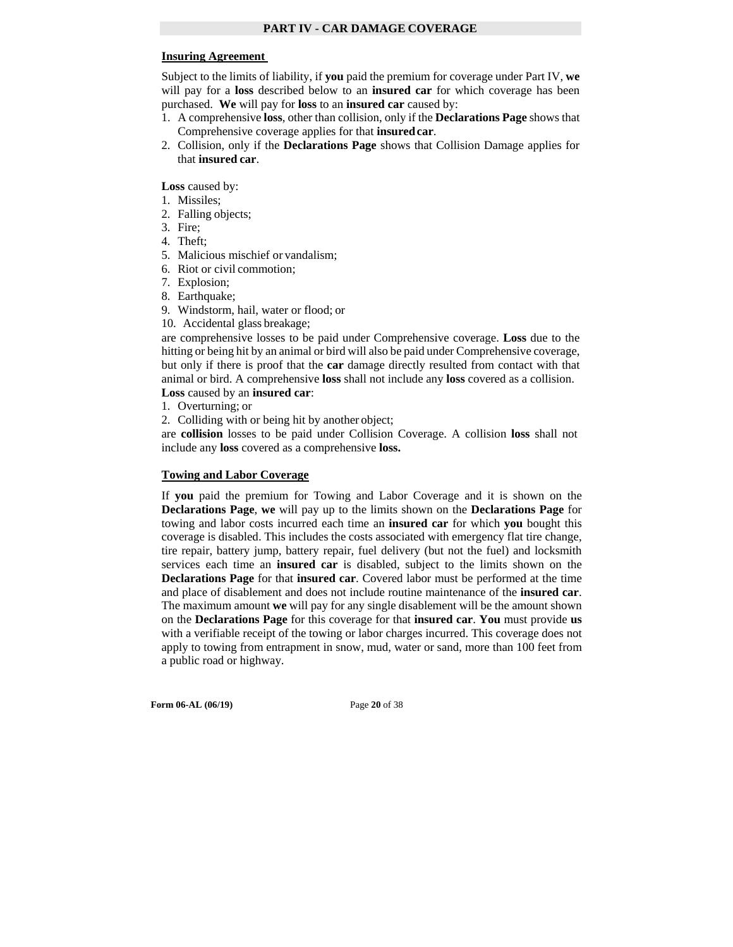#### **Insuring Agreement**

Subject to the limits of liability, if **you** paid the premium for coverage under Part IV, **we**  will pay for a **loss** described below to an **insured car** for which coverage has been purchased. **We** will pay for **loss** to an **insured car** caused by:

- 1. A comprehensive **loss**, other than collision, only if the **Declarations Page** shows that Comprehensive coverage applies for that **insured car**.
- 2. Collision, only if the **Declarations Page** shows that Collision Damage applies for that **insured car**.

Loss caused by:

- 1. Missiles;
- 2. Falling objects;
- 3. Fire;
- 4. Theft;
- 5. Malicious mischief or vandalism;
- 6. Riot or civil commotion;
- 7. Explosion;
- 8. Earthquake;
- 9. Windstorm, hail, water or flood; or
- 10. Accidental glass breakage;

are comprehensive losses to be paid under Comprehensive coverage. **Loss** due to the hitting or being hit by an animal or bird will also be paid under Comprehensive coverage, but only if there is proof that the **car** damage directly resulted from contact with that animal or bird. A comprehensive **loss** shall not include any **loss** covered as a collision. **Loss** caused by an **insured car**:

- 1. Overturning; or
- 2. Colliding with or being hit by another object;

are **collision** losses to be paid under Collision Coverage. A collision **loss** shall not include any **loss** covered as a comprehensive **loss.** 

#### **Towing and Labor Coverage**

If **you** paid the premium for Towing and Labor Coverage and it is shown on the **Declarations Page**, **we** will pay up to the limits shown on the **Declarations Page** for towing and labor costs incurred each time an **insured car** for which **you** bought this coverage is disabled. This includes the costs associated with emergency flat tire change, tire repair, battery jump, battery repair, fuel delivery (but not the fuel) and locksmith services each time an **insured car** is disabled, subject to the limits shown on the **Declarations Page** for that **insured car**. Covered labor must be performed at the time and place of disablement and does not include routine maintenance of the **insured car**. The maximum amount **we** will pay for any single disablement will be the amount shown on the **Declarations Page** for this coverage for that **insured car**. **You** must provide **us**  with a verifiable receipt of the towing or labor charges incurred. This coverage does not apply to towing from entrapment in snow, mud, water or sand, more than 100 feet from a public road or highway.

**Form 06-AL (06/19)** Page **20** of 38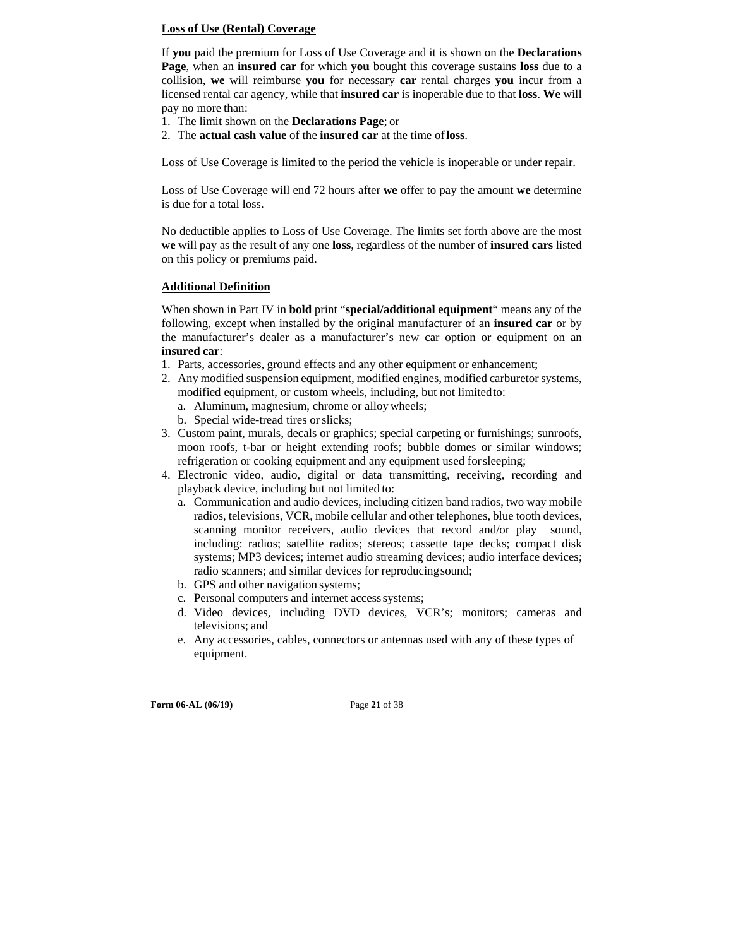#### **Loss of Use (Rental) Coverage**

If **you** paid the premium for Loss of Use Coverage and it is shown on the **Declarations Page**, when an **insured car** for which **you** bought this coverage sustains **loss** due to a collision, **we** will reimburse **you** for necessary **car** rental charges **you** incur from a licensed rental car agency, while that **insured car** is inoperable due to that **loss**. **We** will pay no more than:

- 1. The limit shown on the **Declarations Page**; or
- 2. The **actual cash value** of the **insured car** at the time of **loss**.

Loss of Use Coverage is limited to the period the vehicle is inoperable or under repair.

Loss of Use Coverage will end 72 hours after **we** offer to pay the amount **we** determine is due for a total loss.

No deductible applies to Loss of Use Coverage. The limits set forth above are the most **we** will pay as the result of any one **loss**, regardless of the number of **insured cars** listed on this policy or premiums paid.

#### **Additional Definition**

When shown in Part IV in **bold** print "**special/additional equipment**" means any of the following, except when installed by the original manufacturer of an **insured car** or by the manufacturer's dealer as a manufacturer's new car option or equipment on an **insured car**:

- 1. Parts, accessories, ground effects and any other equipment or enhancement;
- 2. Any modified suspension equipment, modified engines, modified carburetor systems, modified equipment, or custom wheels, including, but not limited to:
	- a. Aluminum, magnesium, chrome or alloy wheels;
	- b. Special wide-tread tires or slicks;
- 3. Custom paint, murals, decals or graphics; special carpeting or furnishings; sunroofs, moon roofs, t-bar or height extending roofs; bubble domes or similar windows; refrigeration or cooking equipment and any equipment used for sleeping;
- 4. Electronic video, audio, digital or data transmitting, receiving, recording and playback device, including but not limited to:
	- a. Communication and audio devices, including citizen band radios, two way mobile radios, televisions, VCR, mobile cellular and other telephones, blue tooth devices, scanning monitor receivers, audio devices that record and/or play sound, including: radios; satellite radios; stereos; cassette tape decks; compact disk systems; MP3 devices; internet audio streaming devices; audio interface devices; radio scanners; and similar devices for reproducing sound;
	- b. GPS and other navigation systems;
	- c. Personal computers and internet access systems;
	- d. Video devices, including DVD devices, VCR's; monitors; cameras and televisions; and
	- e. Any accessories, cables, connectors or antennas used with any of these types of equipment.

**Form 06-AL (06/19)** Page **21** of 38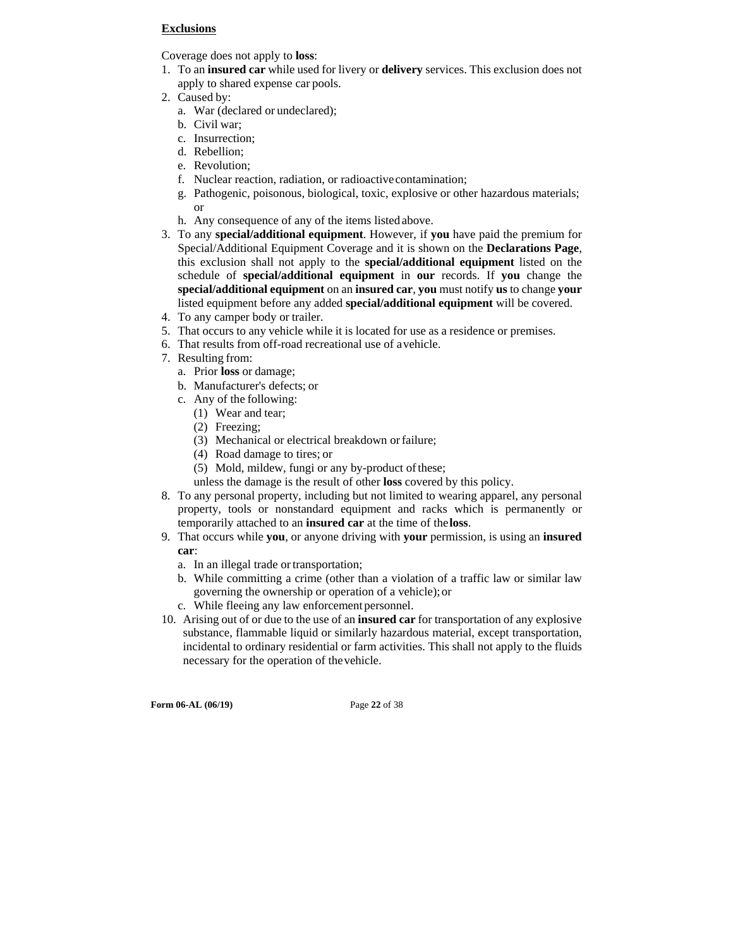#### **Exclusions**

Coverage does not apply to **loss**:

- 1. To an **insured car** while used for livery or **delivery** services. This exclusion does not apply to shared expense car pools.
- 2. Caused by:
	- a. War (declared or undeclared);
	- b. Civil war;
	- c. Insurrection;
	- d. Rebellion;
	- e. Revolution;
	- f. Nuclear reaction, radiation, or radioactive contamination;
	- g. Pathogenic, poisonous, biological, toxic, explosive or other hazardous materials; or
	- h. Any consequence of any of the items listed above.
- 3. To any **special/additional equipment**. However, if **you** have paid the premium for Special/Additional Equipment Coverage and it is shown on the **Declarations Page**, this exclusion shall not apply to the **special/additional equipment** listed on the schedule of **special/additional equipment** in **our** records. If **you** change the **special/additional equipment** on an **insured car**, **you** must notify **us** to change **your**  listed equipment before any added **special/additional equipment** will be covered.
- 4. To any camper body or trailer.
- 5. That occurs to any vehicle while it is located for use as a residence or premises.
- 6. That results from off-road recreational use of a vehicle.
- 7. Resulting from:
	- a. Prior **loss** or damage;
	- b. Manufacturer's defects; or
	- c. Any of the following:
		- (1) Wear and tear;
		- (2) Freezing;
		- (3) Mechanical or electrical breakdown or failure;
		- (4) Road damage to tires; or
		- (5) Mold, mildew, fungi or any by-product of these;
		- unless the damage is the result of other **loss** covered by this policy.
- 8. To any personal property, including but not limited to wearing apparel, any personal property, tools or nonstandard equipment and racks which is permanently or temporarily attached to an **insured car** at the time of the **loss**.
- 9. That occurs while **you**, or anyone driving with **your** permission, is using an **insured car**:
	- a. In an illegal trade or transportation;
	- b. While committing a crime (other than a violation of a traffic law or similar law governing the ownership or operation of a vehicle); or
	- c. While fleeing any law enforcement personnel.
- 10. Arising out of or due to the use of an **insured car** for transportation of any explosive substance, flammable liquid or similarly hazardous material, except transportation, incidental to ordinary residential or farm activities. This shall not apply to the fluids necessary for the operation of the vehicle.

**Form 06-AL (06/19)** Page **22** of 38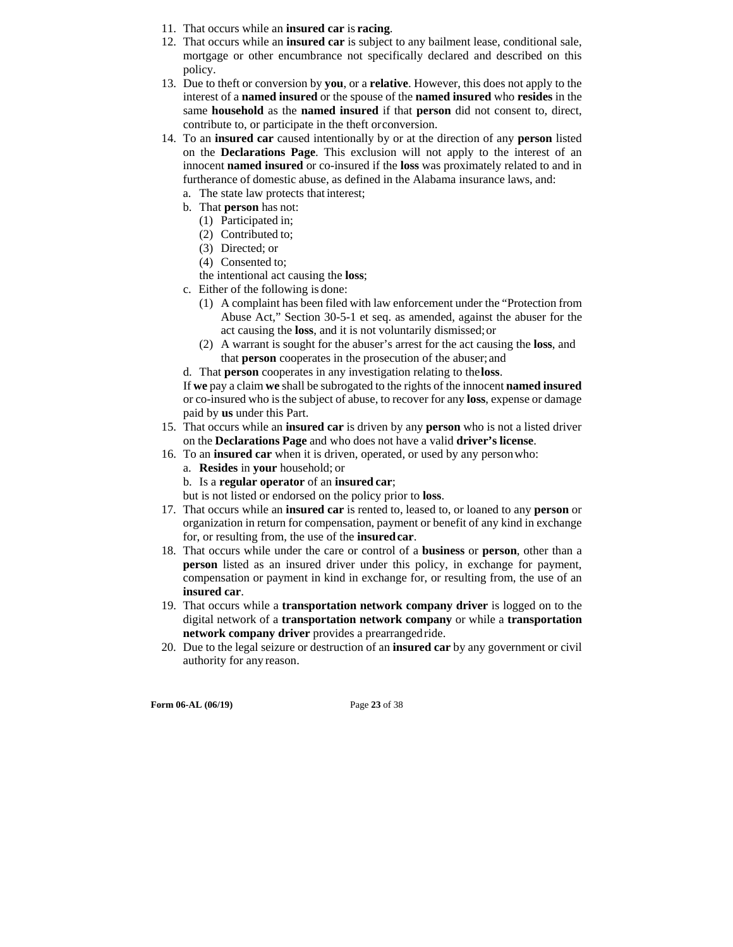- 11. That occurs while an **insured car** is **racing**.
- 12. That occurs while an **insured car** is subject to any bailment lease, conditional sale, mortgage or other encumbrance not specifically declared and described on this policy.
- 13. Due to theft or conversion by **you**, or a **relative**. However, this does not apply to the interest of a **named insured** or the spouse of the **named insured** who **resides** in the same **household** as the **named insured** if that **person** did not consent to, direct, contribute to, or participate in the theft or conversion.
- 14. To an **insured car** caused intentionally by or at the direction of any **person** listed on the **Declarations Page**. This exclusion will not apply to the interest of an innocent **named insured** or co-insured if the **loss** was proximately related to and in furtherance of domestic abuse, as defined in the Alabama insurance laws, and:
	- a. The state law protects that interest;
	- b. That **person** has not:
		- (1) Participated in;
		- (2) Contributed to;
		- (3) Directed; or
		- (4) Consented to;
	- the intentional act causing the **loss**;
	- c. Either of the following is done:
		- (1) A complaint has been filed with law enforcement under the "Protection from Abuse Act," Section 30-5-1 et seq. as amended, against the abuser for the act causing the **loss**, and it is not voluntarily dismissed; or
		- (2) A warrant is sought for the abuser's arrest for the act causing the **loss**, and that **person** cooperates in the prosecution of the abuser; and
	- d. That **person** cooperates in any investigation relating to the **loss**.

If **we** pay a claim **we** shall be subrogated to the rights of the innocent **named insured**  or co-insured who is the subject of abuse, to recover for any **loss**, expense or damage paid by **us** under this Part.

- 15. That occurs while an **insured car** is driven by any **person** who is not a listed driver on the **Declarations Page** and who does not have a valid **driver's license**.
- 16. To an **insured car** when it is driven, operated, or used by any person who:
	- a. **Resides** in **your** household; or
	- b. Is a **regular operator** of an **insured car**;

but is not listed or endorsed on the policy prior to **loss**.

- 17. That occurs while an **insured car** is rented to, leased to, or loaned to any **person** or organization in return for compensation, payment or benefit of any kind in exchange for, or resulting from, the use of the **insured car**.
- 18. That occurs while under the care or control of a **business** or **person**, other than a **person** listed as an insured driver under this policy, in exchange for payment, compensation or payment in kind in exchange for, or resulting from, the use of an **insured car**.
- 19. That occurs while a **transportation network company driver** is logged on to the digital network of a **transportation network company** or while a **transportation network company driver** provides a prearranged ride.
- 20. Due to the legal seizure or destruction of an **insured car** by any government or civil authority for any reason.

**Form 06-AL (06/19)** Page **23** of 38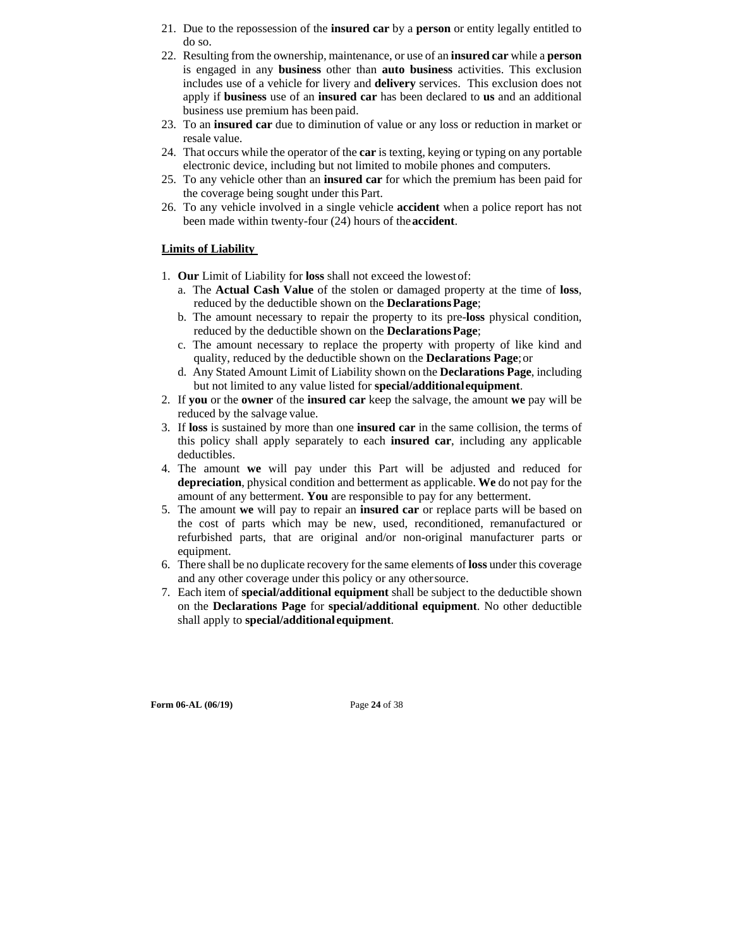- 21. Due to the repossession of the **insured car** by a **person** or entity legally entitled to do so.
- 22. Resulting from the ownership, maintenance, or use of an **insured car** while a **person**  is engaged in any **business** other than **auto business** activities. This exclusion includes use of a vehicle for livery and **delivery** services. This exclusion does not apply if **business** use of an **insured car** has been declared to **us** and an additional business use premium has been paid.
- 23. To an **insured car** due to diminution of value or any loss or reduction in market or resale value.
- 24. That occurs while the operator of the **car** is texting, keying or typing on any portable electronic device, including but not limited to mobile phones and computers.
- 25. To any vehicle other than an **insured car** for which the premium has been paid for the coverage being sought under this Part.
- 26. To any vehicle involved in a single vehicle **accident** when a police report has not been made within twenty-four (24) hours of the **accident**.

#### **Limits of Liability**

- 1. **Our** Limit of Liability for **loss** shall not exceed the lowest of:
	- a. The **Actual Cash Value** of the stolen or damaged property at the time of **loss**, reduced by the deductible shown on the **Declarations Page**;
	- b. The amount necessary to repair the property to its pre-**loss** physical condition, reduced by the deductible shown on the **Declarations Page**;
	- c. The amount necessary to replace the property with property of like kind and quality, reduced by the deductible shown on the **Declarations Page**; or
	- d. Any Stated Amount Limit of Liability shown on the **Declarations Page**, including but not limited to any value listed for **special/additional equipment**.
- 2. If **you** or the **owner** of the **insured car** keep the salvage, the amount **we** pay will be reduced by the salvage value.
- 3. If **loss** is sustained by more than one **insured car** in the same collision, the terms of this policy shall apply separately to each **insured car**, including any applicable deductibles.
- 4. The amount **we** will pay under this Part will be adjusted and reduced for **depreciation**, physical condition and betterment as applicable. **We** do not pay for the amount of any betterment. **You** are responsible to pay for any betterment.
- 5. The amount **we** will pay to repair an **insured car** or replace parts will be based on the cost of parts which may be new, used, reconditioned, remanufactured or refurbished parts, that are original and/or non-original manufacturer parts or equipment.
- 6. There shall be no duplicate recovery for the same elements of **loss** under this coverage and any other coverage under this policy or any other source.
- 7. Each item of **special/additional equipment** shall be subject to the deductible shown on the **Declarations Page** for **special/additional equipment**. No other deductible shall apply to **special/additional equipment**.

**Form 06-AL (06/19)** Page **24** of 38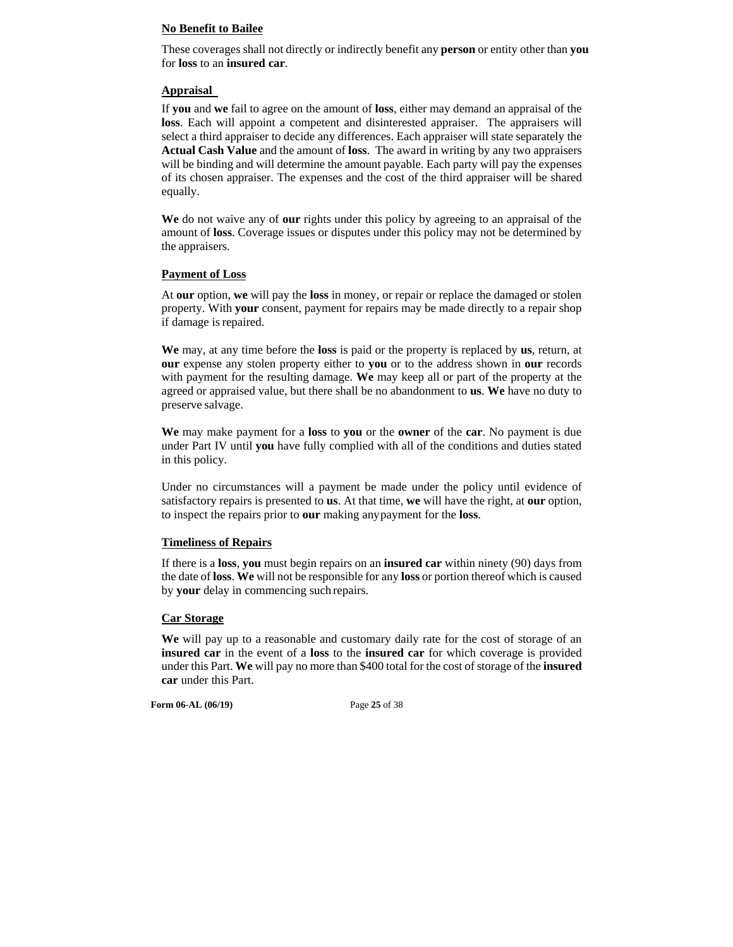#### **No Benefit to Bailee**

These coverages shall not directly or indirectly benefit any **person** or entity other than **you**  for **loss** to an **insured car**.

#### **Appraisal**

If **you** and **we** fail to agree on the amount of **loss**, either may demand an appraisal of the **loss**. Each will appoint a competent and disinterested appraiser. The appraisers will select a third appraiser to decide any differences. Each appraiser will state separately the **Actual Cash Value** and the amount of **loss**. The award in writing by any two appraisers will be binding and will determine the amount payable. Each party will pay the expenses of its chosen appraiser. The expenses and the cost of the third appraiser will be shared equally.

**We** do not waive any of **our** rights under this policy by agreeing to an appraisal of the amount of **loss**. Coverage issues or disputes under this policy may not be determined by the appraisers.

#### **Payment of Loss**

At **our** option, **we** will pay the **loss** in money, or repair or replace the damaged or stolen property. With **your** consent, payment for repairs may be made directly to a repair shop if damage is repaired.

**We** may, at any time before the **loss** is paid or the property is replaced by **us**, return, at **our** expense any stolen property either to **you** or to the address shown in **our** records with payment for the resulting damage. **We** may keep all or part of the property at the agreed or appraised value, but there shall be no abandonment to **us**. **We** have no duty to preserve salvage.

**We** may make payment for a **loss** to **you** or the **owner** of the **car**. No payment is due under Part IV until **you** have fully complied with all of the conditions and duties stated in this policy.

Under no circumstances will a payment be made under the policy until evidence of satisfactory repairs is presented to **us**. At that time, **we** will have the right, at **our** option, to inspect the repairs prior to **our** making any payment for the **loss**.

#### **Timeliness of Repairs**

If there is a **loss**, **you** must begin repairs on an **insured car** within ninety (90) days from the date of **loss**. **We** will not be responsible for any **loss** or portion thereof which is caused by **your** delay in commencing such repairs.

#### **Car Storage**

**We** will pay up to a reasonable and customary daily rate for the cost of storage of an **insured car** in the event of a **loss** to the **insured car** for which coverage is provided under this Part. **We** will pay no more than \$400 total for the cost of storage of the **insured car** under this Part.

**Form 06-AL (06/19)** Page **25** of 38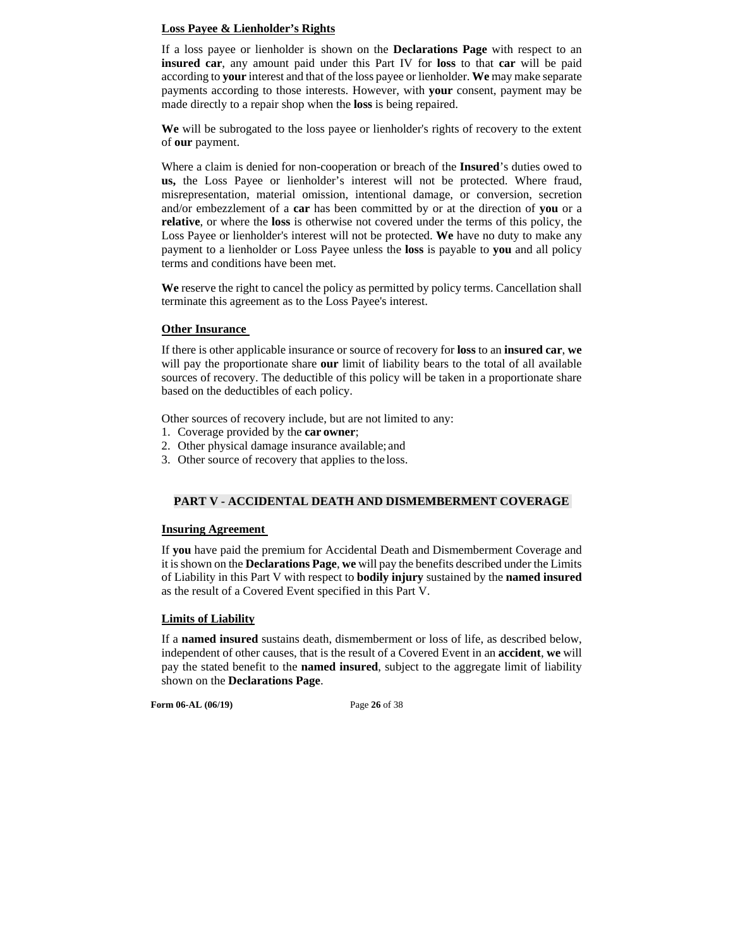#### **Loss Payee & Lienholder's Rights**

If a loss payee or lienholder is shown on the **Declarations Page** with respect to an **insured car**, any amount paid under this Part IV for **loss** to that **car** will be paid according to **your** interest and that of the loss payee or lienholder. **We** may make separate payments according to those interests. However, with **your** consent, payment may be made directly to a repair shop when the **loss** is being repaired.

**We** will be subrogated to the loss payee or lienholder's rights of recovery to the extent of **our** payment.

Where a claim is denied for non-cooperation or breach of the **Insured**'s duties owed to **us,** the Loss Payee or lienholder's interest will not be protected. Where fraud, misrepresentation, material omission, intentional damage, or conversion, secretion and/or embezzlement of a **car** has been committed by or at the direction of **you** or a **relative**, or where the **loss** is otherwise not covered under the terms of this policy, the Loss Payee or lienholder's interest will not be protected. **We** have no duty to make any payment to a lienholder or Loss Payee unless the **loss** is payable to **you** and all policy terms and conditions have been met.

**We** reserve the right to cancel the policy as permitted by policy terms. Cancellation shall terminate this agreement as to the Loss Payee's interest.

#### **Other Insurance**

If there is other applicable insurance or source of recovery for **loss** to an **insured car**, **we**  will pay the proportionate share **our** limit of liability bears to the total of all available sources of recovery. The deductible of this policy will be taken in a proportionate share based on the deductibles of each policy.

Other sources of recovery include, but are not limited to any:

- 1. Coverage provided by the **car owner**;
- 2. Other physical damage insurance available; and
- 3. Other source of recovery that applies to the loss.

#### **PART V - ACCIDENTAL DEATH AND DISMEMBERMENT COVERAGE**

#### **Insuring Agreement**

If **you** have paid the premium for Accidental Death and Dismemberment Coverage and it is shown on the **Declarations Page**, **we** will pay the benefits described under the Limits of Liability in this Part V with respect to **bodily injury** sustained by the **named insured**  as the result of a Covered Event specified in this Part V.

#### **Limits of Liability**

If a **named insured** sustains death, dismemberment or loss of life, as described below, independent of other causes, that is the result of a Covered Event in an **accident**, **we** will pay the stated benefit to the **named insured**, subject to the aggregate limit of liability shown on the **Declarations Page**.

**Form 06-AL (06/19)** Page **26** of 38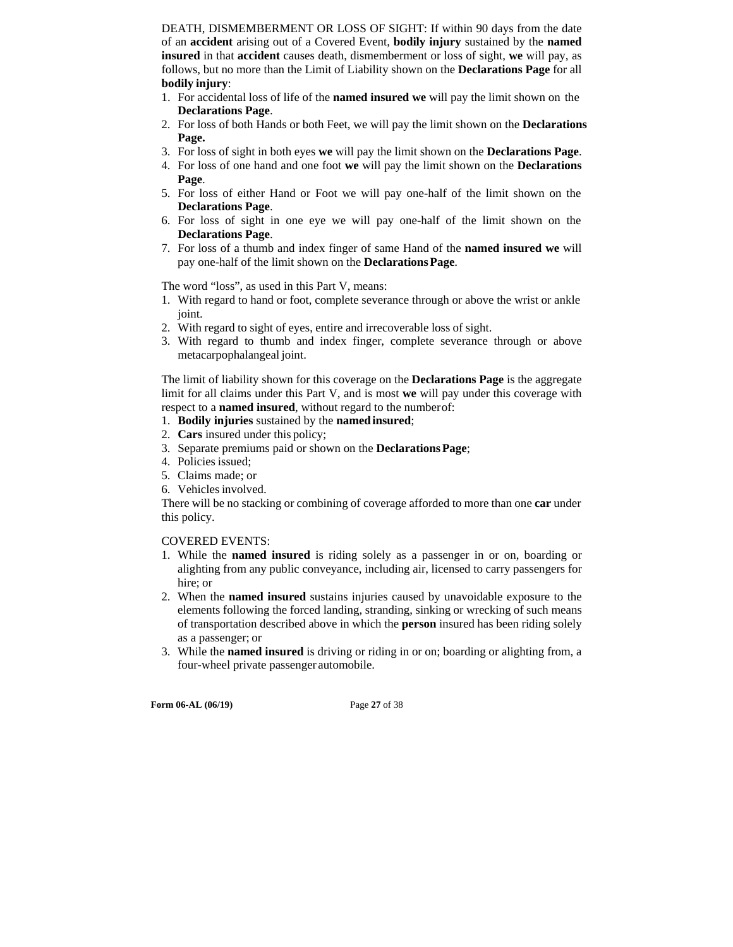DEATH, DISMEMBERMENT OR LOSS OF SIGHT: If within 90 days from the date of an **accident** arising out of a Covered Event, **bodily injury** sustained by the **named insured** in that **accident** causes death, dismemberment or loss of sight, **we** will pay, as follows, but no more than the Limit of Liability shown on the **Declarations Page** for all **bodily injury**:

- 1. For accidental loss of life of the **named insured we** will pay the limit shown on the **Declarations Page**.
- 2. For loss of both Hands or both Feet, we will pay the limit shown on the **Declarations Page.**
- 3. For loss of sight in both eyes **we** will pay the limit shown on the **Declarations Page**.
- 4. For loss of one hand and one foot **we** will pay the limit shown on the **Declarations Page**.
- 5. For loss of either Hand or Foot we will pay one-half of the limit shown on the **Declarations Page**.
- 6. For loss of sight in one eye we will pay one-half of the limit shown on the **Declarations Page**.
- 7. For loss of a thumb and index finger of same Hand of the **named insured we** will pay one-half of the limit shown on the **Declarations Page**.

The word "loss", as used in this Part V, means:

- 1. With regard to hand or foot, complete severance through or above the wrist or ankle joint.
- 2. With regard to sight of eyes, entire and irrecoverable loss of sight.
- 3. With regard to thumb and index finger, complete severance through or above metacarpophalangeal joint.

The limit of liability shown for this coverage on the **Declarations Page** is the aggregate limit for all claims under this Part V, and is most **we** will pay under this coverage with respect to a **named insured**, without regard to the number of:

- 1. **Bodily injuries** sustained by the **named insured**;
- 2. **Cars** insured under this policy;
- 3. Separate premiums paid or shown on the **Declarations Page**;
- 4. Policies issued;
- 5. Claims made; or
- 6. Vehicles involved.

There will be no stacking or combining of coverage afforded to more than one **car** under this policy.

#### COVERED EVENTS:

- 1. While the **named insured** is riding solely as a passenger in or on, boarding or alighting from any public conveyance, including air, licensed to carry passengers for hire; or
- 2. When the **named insured** sustains injuries caused by unavoidable exposure to the elements following the forced landing, stranding, sinking or wrecking of such means of transportation described above in which the **person** insured has been riding solely as a passenger; or
- 3. While the **named insured** is driving or riding in or on; boarding or alighting from, a four-wheel private passenger automobile.

**Form 06-AL (06/19)** Page **27** of 38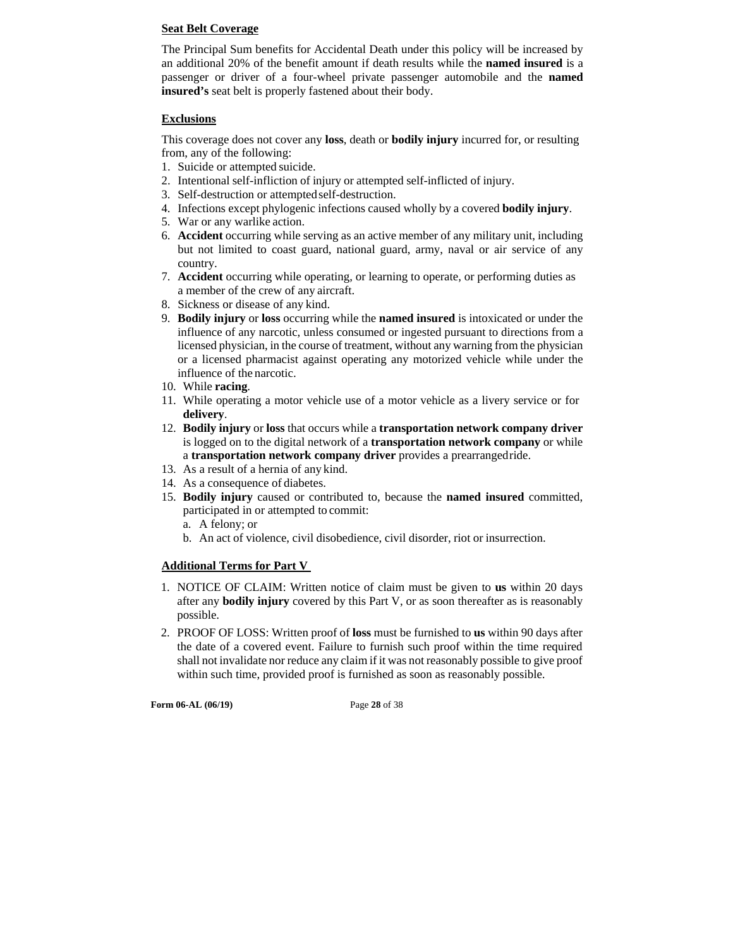#### **Seat Belt Coverage**

The Principal Sum benefits for Accidental Death under this policy will be increased by an additional 20% of the benefit amount if death results while the **named insured** is a passenger or driver of a four-wheel private passenger automobile and the **named insured's** seat belt is properly fastened about their body.

#### **Exclusions**

This coverage does not cover any **loss**, death or **bodily injury** incurred for, or resulting from, any of the following:

- 1. Suicide or attempted suicide.
- 2. Intentional self-infliction of injury or attempted self-inflicted of injury.
- 3. Self-destruction or attempted self-destruction.
- 4. Infections except phylogenic infections caused wholly by a covered **bodily injury**.
- 5. War or any warlike action.
- 6. **Accident** occurring while serving as an active member of any military unit, including but not limited to coast guard, national guard, army, naval or air service of any country.
- 7. **Accident** occurring while operating, or learning to operate, or performing duties as a member of the crew of any aircraft.
- 8. Sickness or disease of any kind.
- 9. **Bodily injury** or **loss** occurring while the **named insured** is intoxicated or under the influence of any narcotic, unless consumed or ingested pursuant to directions from a licensed physician, in the course of treatment, without any warning from the physician or a licensed pharmacist against operating any motorized vehicle while under the influence of the narcotic.
- 10. While **racing**.
- 11. While operating a motor vehicle use of a motor vehicle as a livery service or for **delivery**.
- 12. **Bodily injury** or **loss** that occurs while a **transportation network company driver**  is logged on to the digital network of a **transportation network company** or while a **transportation network company driver** provides a prearranged ride.
- 13. As a result of a hernia of any kind.
- 14. As a consequence of diabetes.
- 15. **Bodily injury** caused or contributed to, because the **named insured** committed, participated in or attempted to commit:
	- a. A felony; or
	- b. An act of violence, civil disobedience, civil disorder, riot or insurrection.

### **Additional Terms for Part V**

- 1. NOTICE OF CLAIM: Written notice of claim must be given to **us** within 20 days after any **bodily injury** covered by this Part V, or as soon thereafter as is reasonably possible.
- 2. PROOF OF LOSS: Written proof of **loss** must be furnished to **us** within 90 days after the date of a covered event. Failure to furnish such proof within the time required shall not invalidate nor reduce any claim if it was not reasonably possible to give proof within such time, provided proof is furnished as soon as reasonably possible.

**Form 06-AL (06/19)** Page **28** of 38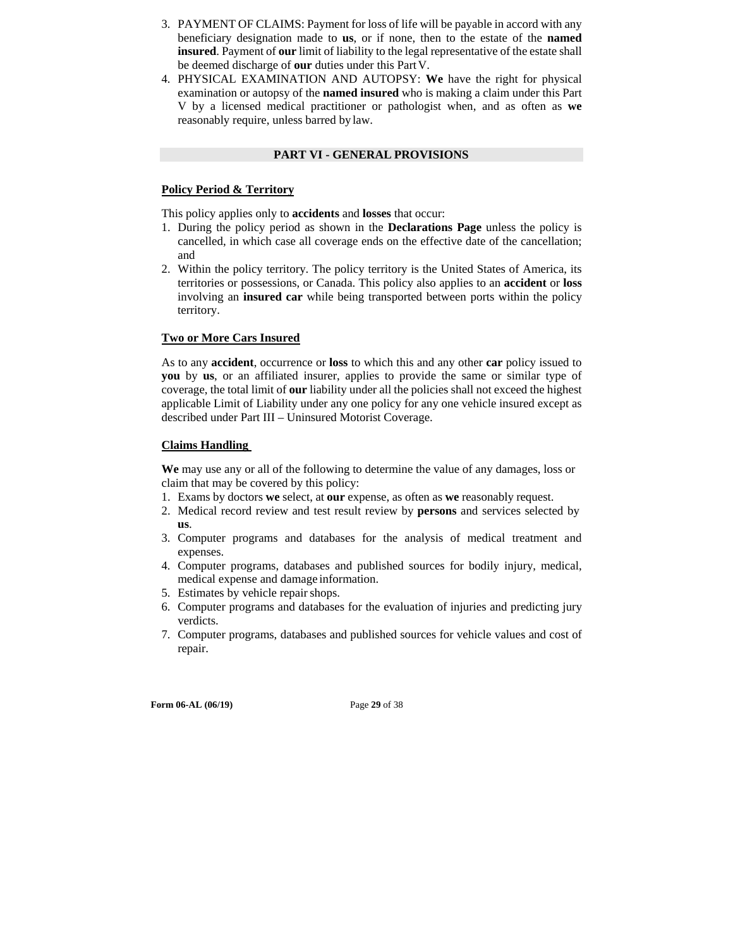- 3. PAYMENT OF CLAIMS: Payment for loss of life will be payable in accord with any beneficiary designation made to **us**, or if none, then to the estate of the **named insured**. Payment of **our** limit of liability to the legal representative of the estate shall be deemed discharge of **our** duties under this Part V.
- 4. PHYSICAL EXAMINATION AND AUTOPSY: **We** have the right for physical examination or autopsy of the **named insured** who is making a claim under this Part V by a licensed medical practitioner or pathologist when, and as often as **we**  reasonably require, unless barred by law.

#### **PART VI - GENERAL PROVISIONS**

#### **Policy Period & Territory**

This policy applies only to **accidents** and **losses** that occur:

- 1. During the policy period as shown in the **Declarations Page** unless the policy is cancelled, in which case all coverage ends on the effective date of the cancellation; and
- 2. Within the policy territory. The policy territory is the United States of America, its territories or possessions, or Canada. This policy also applies to an **accident** or **loss**  involving an **insured car** while being transported between ports within the policy territory.

#### **Two or More Cars Insured**

As to any **accident**, occurrence or **loss** to which this and any other **car** policy issued to **you** by **us**, or an affiliated insurer, applies to provide the same or similar type of coverage, the total limit of **our** liability under all the policies shall not exceed the highest applicable Limit of Liability under any one policy for any one vehicle insured except as described under Part III – Uninsured Motorist Coverage.

#### **Claims Handling**

**We** may use any or all of the following to determine the value of any damages, loss or claim that may be covered by this policy:

- 1. Exams by doctors **we** select, at **our** expense, as often as **we** reasonably request.
- 2. Medical record review and test result review by **persons** and services selected by **us**.
- 3. Computer programs and databases for the analysis of medical treatment and expenses.
- 4. Computer programs, databases and published sources for bodily injury, medical, medical expense and damage information.
- 5. Estimates by vehicle repair shops.
- 6. Computer programs and databases for the evaluation of injuries and predicting jury verdicts.
- 7. Computer programs, databases and published sources for vehicle values and cost of repair.

**Form 06-AL (06/19)** Page **29** of 38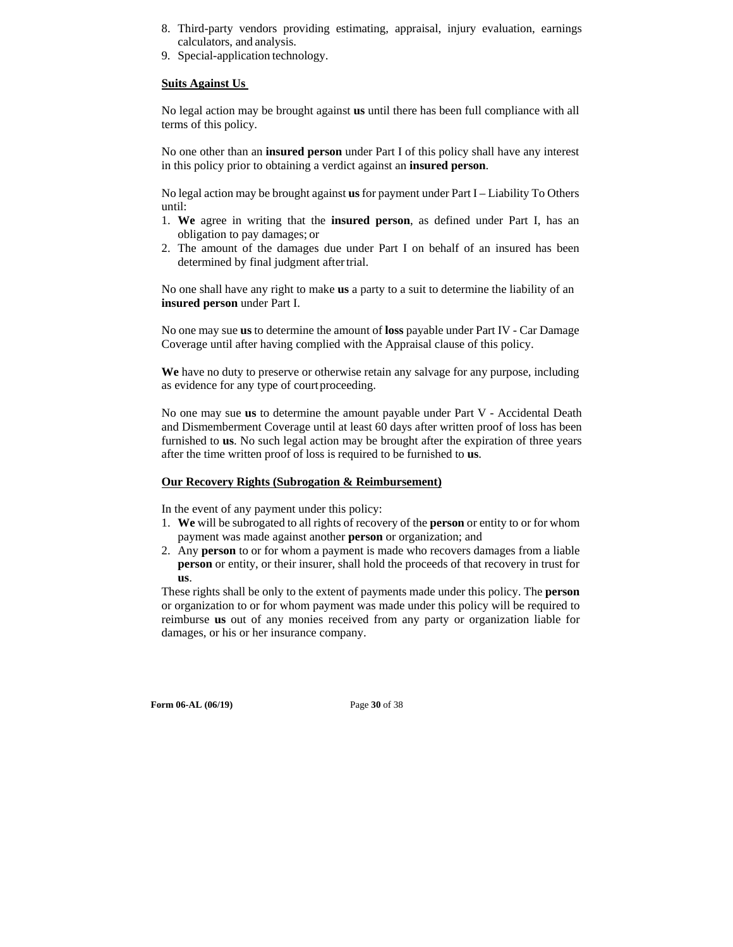- 8. Third-party vendors providing estimating, appraisal, injury evaluation, earnings calculators, and analysis.
- 9. Special-application technology.

#### **Suits Against Us**

No legal action may be brought against **us** until there has been full compliance with all terms of this policy.

No one other than an **insured person** under Part I of this policy shall have any interest in this policy prior to obtaining a verdict against an **insured person**.

No legal action may be brought against **us** for payment under Part I – Liability To Others until:

- 1. **We** agree in writing that the **insured person**, as defined under Part I, has an obligation to pay damages; or
- 2. The amount of the damages due under Part I on behalf of an insured has been determined by final judgment after trial.

No one shall have any right to make **us** a party to a suit to determine the liability of an **insured person** under Part I.

No one may sue **us** to determine the amount of **loss** payable under Part IV - Car Damage Coverage until after having complied with the Appraisal clause of this policy.

**We** have no duty to preserve or otherwise retain any salvage for any purpose, including as evidence for any type of court proceeding.

No one may sue **us** to determine the amount payable under Part V - Accidental Death and Dismemberment Coverage until at least 60 days after written proof of loss has been furnished to **us**. No such legal action may be brought after the expiration of three years after the time written proof of loss is required to be furnished to **us**.

#### **Our Recovery Rights (Subrogation & Reimbursement)**

In the event of any payment under this policy:

- 1. **We** will be subrogated to all rights of recovery of the **person** or entity to or for whom payment was made against another **person** or organization; and
- 2. Any **person** to or for whom a payment is made who recovers damages from a liable **person** or entity, or their insurer, shall hold the proceeds of that recovery in trust for **us**.

These rights shall be only to the extent of payments made under this policy. The **person**  or organization to or for whom payment was made under this policy will be required to reimburse **us** out of any monies received from any party or organization liable for damages, or his or her insurance company.

**Form 06-AL (06/19)** Page **30** of 38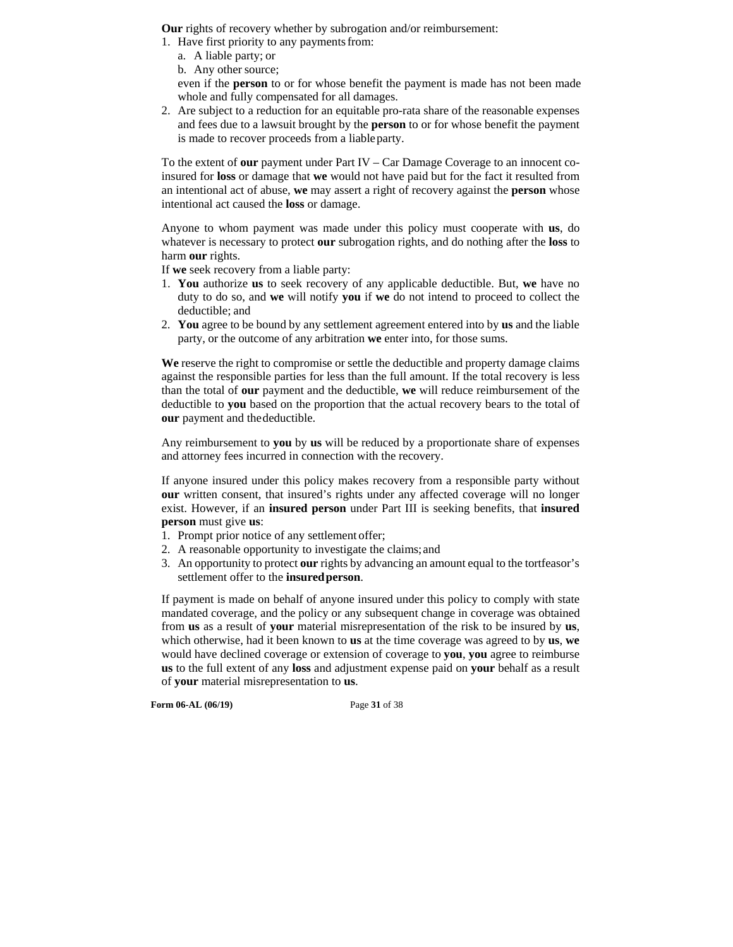**Our** rights of recovery whether by subrogation and/or reimbursement:

- 1. Have first priority to any payments from:
	- a. A liable party; or
	- b. Any other source;

even if the **person** to or for whose benefit the payment is made has not been made whole and fully compensated for all damages.

2. Are subject to a reduction for an equitable pro-rata share of the reasonable expenses and fees due to a lawsuit brought by the **person** to or for whose benefit the payment is made to recover proceeds from a liable party.

To the extent of **our** payment under Part IV – Car Damage Coverage to an innocent coinsured for **loss** or damage that **we** would not have paid but for the fact it resulted from an intentional act of abuse, **we** may assert a right of recovery against the **person** whose intentional act caused the **loss** or damage.

Anyone to whom payment was made under this policy must cooperate with **us**, do whatever is necessary to protect **our** subrogation rights, and do nothing after the **loss** to harm **our** rights.

If **we** seek recovery from a liable party:

- 1. **You** authorize **us** to seek recovery of any applicable deductible. But, **we** have no duty to do so, and **we** will notify **you** if **we** do not intend to proceed to collect the deductible; and
- 2. **You** agree to be bound by any settlement agreement entered into by **us** and the liable party, or the outcome of any arbitration **we** enter into, for those sums.

**We** reserve the right to compromise or settle the deductible and property damage claims against the responsible parties for less than the full amount. If the total recovery is less than the total of **our** payment and the deductible, **we** will reduce reimbursement of the deductible to **you** based on the proportion that the actual recovery bears to the total of **our** payment and the deductible.

Any reimbursement to **you** by **us** will be reduced by a proportionate share of expenses and attorney fees incurred in connection with the recovery.

If anyone insured under this policy makes recovery from a responsible party without **our** written consent, that insured's rights under any affected coverage will no longer exist. However, if an **insured person** under Part III is seeking benefits, that **insured person** must give **us**:

- 1. Prompt prior notice of any settlement offer;
- 2. A reasonable opportunity to investigate the claims; and
- 3. An opportunity to protect **our** rights by advancing an amount equal to the tortfeasor's settlement offer to the **insured person**.

If payment is made on behalf of anyone insured under this policy to comply with state mandated coverage, and the policy or any subsequent change in coverage was obtained from **us** as a result of **your** material misrepresentation of the risk to be insured by **us**, which otherwise, had it been known to **us** at the time coverage was agreed to by **us**, **we**  would have declined coverage or extension of coverage to **you**, **you** agree to reimburse **us** to the full extent of any **loss** and adjustment expense paid on **your** behalf as a result of **your** material misrepresentation to **us**.

**Form 06-AL (06/19)** Page **31** of 38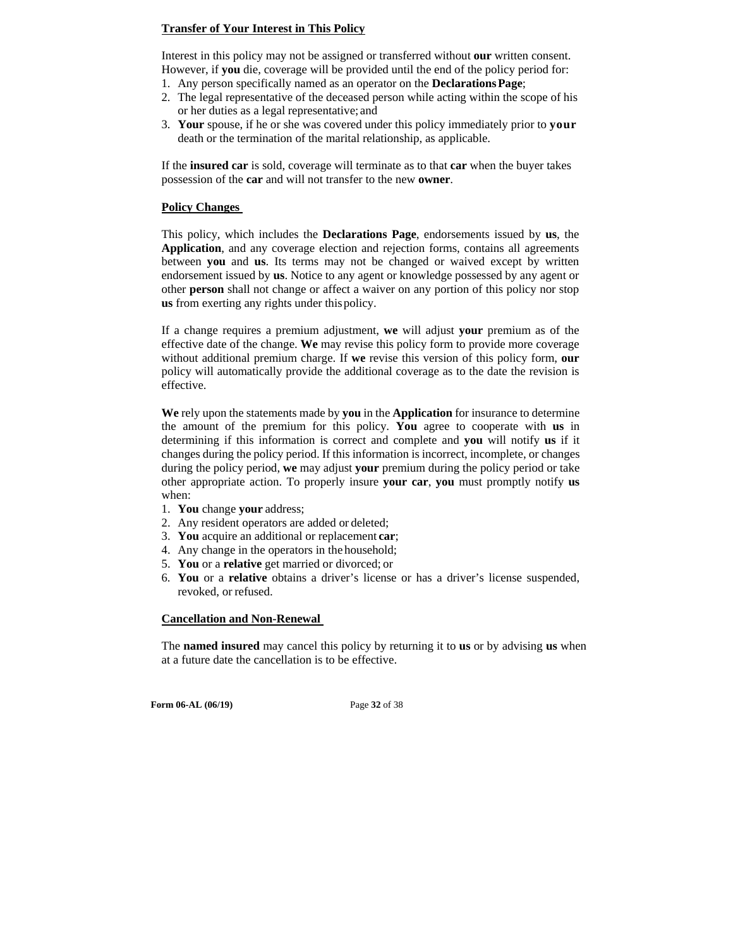#### **Transfer of Your Interest in This Policy**

Interest in this policy may not be assigned or transferred without **our** written consent. However, if **you** die, coverage will be provided until the end of the policy period for:

- 1. Any person specifically named as an operator on the **Declarations Page**;
- 2. The legal representative of the deceased person while acting within the scope of his or her duties as a legal representative; and
- 3. **Your** spouse, if he or she was covered under this policy immediately prior to **your**  death or the termination of the marital relationship, as applicable.

If the **insured car** is sold, coverage will terminate as to that **car** when the buyer takes possession of the **car** and will not transfer to the new **owner**.

#### **Policy Changes**

This policy, which includes the **Declarations Page**, endorsements issued by **us**, the **Application**, and any coverage election and rejection forms, contains all agreements between **you** and **us**. Its terms may not be changed or waived except by written endorsement issued by **us**. Notice to any agent or knowledge possessed by any agent or other **person** shall not change or affect a waiver on any portion of this policy nor stop **us** from exerting any rights under this policy.

If a change requires a premium adjustment, **we** will adjust **your** premium as of the effective date of the change. **We** may revise this policy form to provide more coverage without additional premium charge. If **we** revise this version of this policy form, **our**  policy will automatically provide the additional coverage as to the date the revision is effective.

**We** rely upon the statements made by **you** in the **Application** for insurance to determine the amount of the premium for this policy. **You** agree to cooperate with **us** in determining if this information is correct and complete and **you** will notify **us** if it changes during the policy period. If this information is incorrect, incomplete, or changes during the policy period, **we** may adjust **your** premium during the policy period or take other appropriate action. To properly insure **your car**, **you** must promptly notify **us**  when:

- 1. **You** change **your** address;
- 2. Any resident operators are added or deleted;
- 3. **You** acquire an additional or replacement **car**;
- 4. Any change in the operators in the household;
- 5. **You** or a **relative** get married or divorced; or
- 6. **You** or a **relative** obtains a driver's license or has a driver's license suspended, revoked, or refused.

#### **Cancellation and Non-Renewal**

The **named insured** may cancel this policy by returning it to **us** or by advising **us** when at a future date the cancellation is to be effective.

**Form 06-AL (06/19)** Page **32** of 38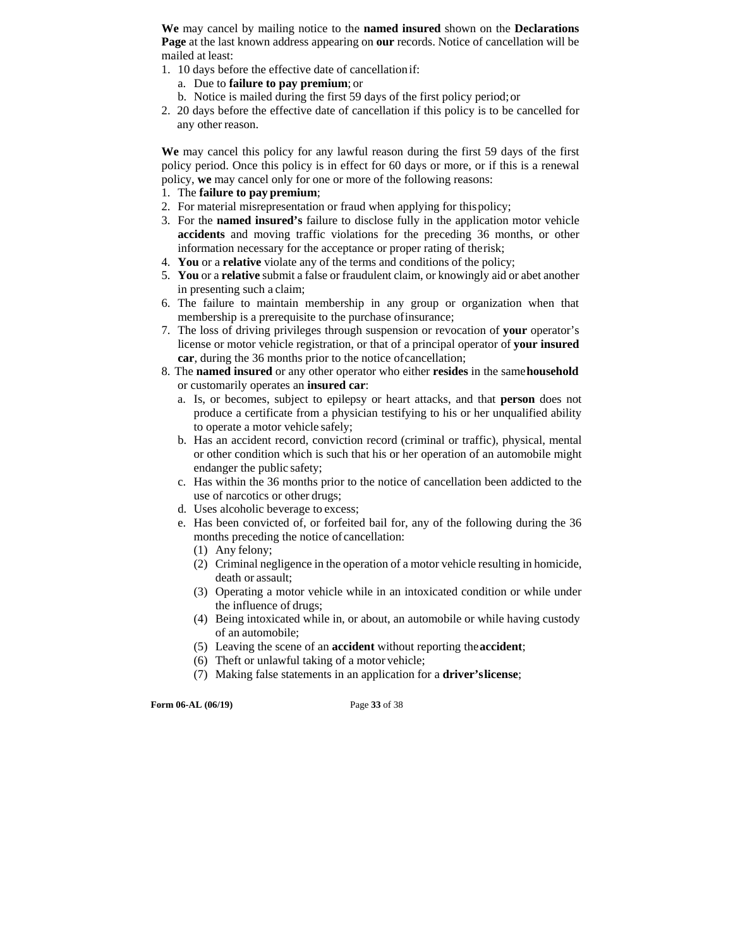**We** may cancel by mailing notice to the **named insured** shown on the **Declarations Page** at the last known address appearing on **our** records. Notice of cancellation will be mailed at least:

- 1. 10 days before the effective date of cancellation if:
	- a. Due to **failure to pay premium**; or
	- b. Notice is mailed during the first 59 days of the first policy period; or
- 2. 20 days before the effective date of cancellation if this policy is to be cancelled for any other reason.

**We** may cancel this policy for any lawful reason during the first 59 days of the first policy period. Once this policy is in effect for 60 days or more, or if this is a renewal policy, **we** may cancel only for one or more of the following reasons:

- 1. The **failure to pay premium**;
- 2. For material misrepresentation or fraud when applying for this policy;
- 3. For the **named insured's** failure to disclose fully in the application motor vehicle **accidents** and moving traffic violations for the preceding 36 months, or other information necessary for the acceptance or proper rating of the risk;
- 4. **You** or a **relative** violate any of the terms and conditions of the policy;
- 5. **You** or a **relative** submit a false or fraudulent claim, or knowingly aid or abet another in presenting such a claim;
- 6. The failure to maintain membership in any group or organization when that membership is a prerequisite to the purchase of insurance;
- 7. The loss of driving privileges through suspension or revocation of **your** operator's license or motor vehicle registration, or that of a principal operator of **your insured car**, during the 36 months prior to the notice of cancellation;
- 8. The **named insured** or any other operator who either **resides** in the same **household**  or customarily operates an **insured car**:
	- a. Is, or becomes, subject to epilepsy or heart attacks, and that **person** does not produce a certificate from a physician testifying to his or her unqualified ability to operate a motor vehicle safely;
	- b. Has an accident record, conviction record (criminal or traffic), physical, mental or other condition which is such that his or her operation of an automobile might endanger the public safety;
	- c. Has within the 36 months prior to the notice of cancellation been addicted to the use of narcotics or other drugs;
	- d. Uses alcoholic beverage to excess;
	- e. Has been convicted of, or forfeited bail for, any of the following during the 36 months preceding the notice of cancellation:
		- (1) Any felony;
		- (2) Criminal negligence in the operation of a motor vehicle resulting in homicide, death or assault;
		- (3) Operating a motor vehicle while in an intoxicated condition or while under the influence of drugs;
		- (4) Being intoxicated while in, or about, an automobile or while having custody of an automobile;
		- (5) Leaving the scene of an **accident** without reporting the **accident**;
		- (6) Theft or unlawful taking of a motor vehicle;
		- (7) Making false statements in an application for a **driver's license**;

**Form 06-AL (06/19)** Page **33** of 38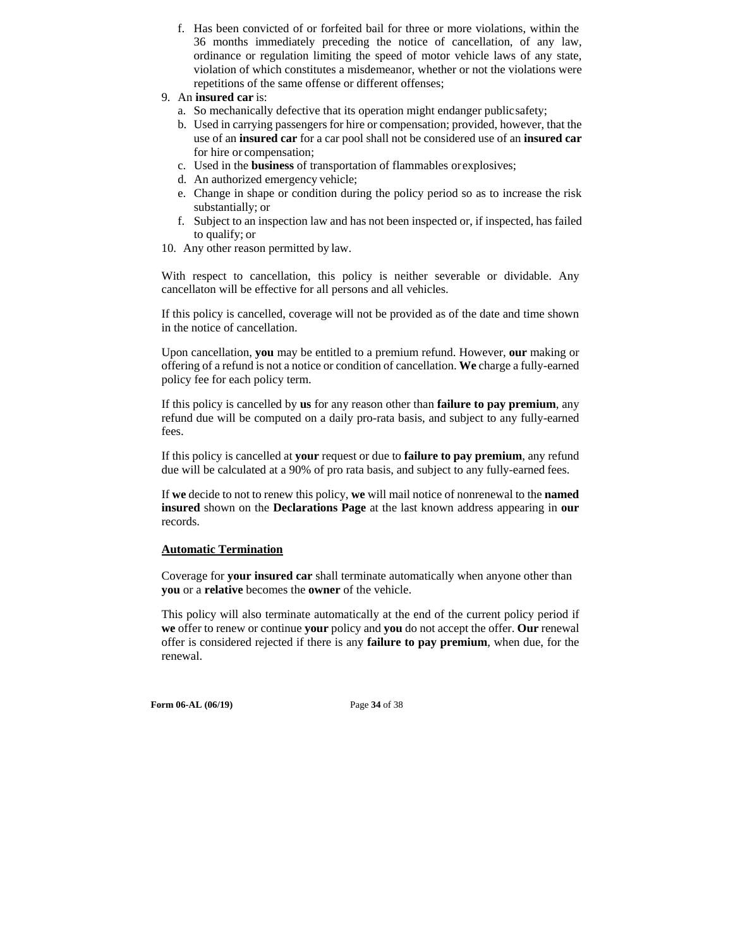- f. Has been convicted of or forfeited bail for three or more violations, within the 36 months immediately preceding the notice of cancellation, of any law, ordinance or regulation limiting the speed of motor vehicle laws of any state, violation of which constitutes a misdemeanor, whether or not the violations were repetitions of the same offense or different offenses;
- 9. An **insured car** is:
	- a. So mechanically defective that its operation might endanger public safety;
	- b. Used in carrying passengers for hire or compensation; provided, however, that the use of an **insured car** for a car pool shall not be considered use of an **insured car**  for hire or compensation;
	- c. Used in the **business** of transportation of flammables or explosives;
	- d. An authorized emergency vehicle;
	- e. Change in shape or condition during the policy period so as to increase the risk substantially; or
	- f. Subject to an inspection law and has not been inspected or, if inspected, has failed to qualify; or
- 10. Any other reason permitted by law.

With respect to cancellation, this policy is neither severable or dividable. Any cancellaton will be effective for all persons and all vehicles.

If this policy is cancelled, coverage will not be provided as of the date and time shown in the notice of cancellation.

Upon cancellation, **you** may be entitled to a premium refund. However, **our** making or offering of a refund is not a notice or condition of cancellation. **We** charge a fully-earned policy fee for each policy term.

If this policy is cancelled by **us** for any reason other than **failure to pay premium**, any refund due will be computed on a daily pro-rata basis, and subject to any fully-earned fees.

If this policy is cancelled at **your** request or due to **failure to pay premium**, any refund due will be calculated at a 90% of pro rata basis, and subject to any fully-earned fees.

If **we** decide to not to renew this policy, **we** will mail notice of nonrenewal to the **named insured** shown on the **Declarations Page** at the last known address appearing in **our**  records.

### **Automatic Termination**

Coverage for **your insured car** shall terminate automatically when anyone other than **you** or a **relative** becomes the **owner** of the vehicle.

This policy will also terminate automatically at the end of the current policy period if **we** offer to renew or continue **your** policy and **you** do not accept the offer. **Our** renewal offer is considered rejected if there is any **failure to pay premium**, when due, for the renewal.

**Form 06-AL (06/19)** Page **34** of 38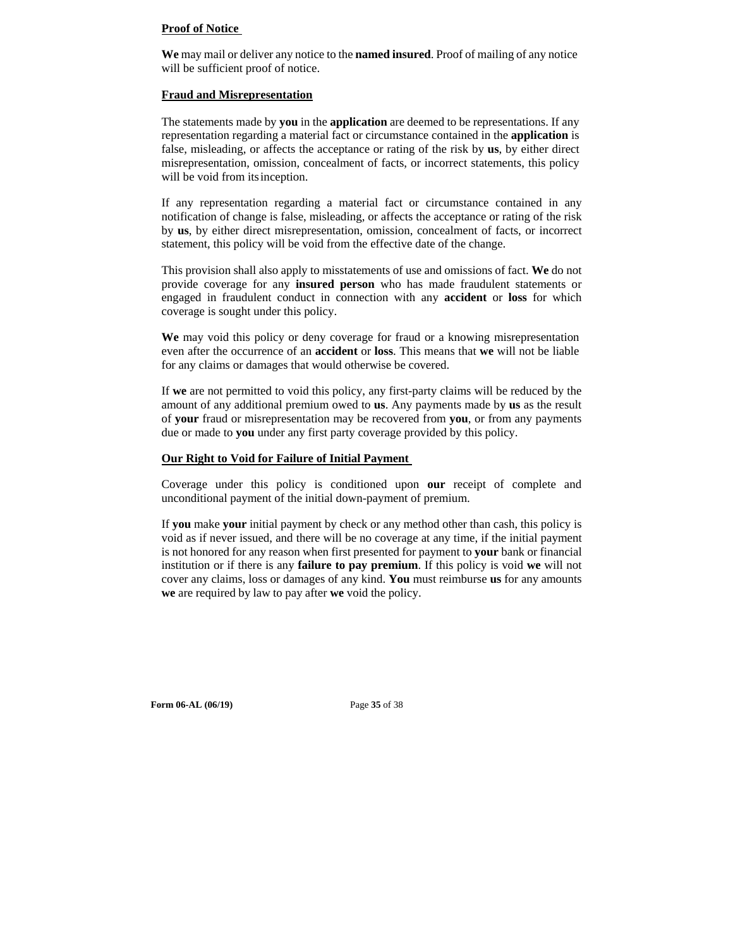#### **Proof of Notice**

**We** may mail or deliver any notice to the **named insured**. Proof of mailing of any notice will be sufficient proof of notice.

#### **Fraud and Misrepresentation**

The statements made by **you** in the **application** are deemed to be representations. If any representation regarding a material fact or circumstance contained in the **application** is false, misleading, or affects the acceptance or rating of the risk by **us**, by either direct misrepresentation, omission, concealment of facts, or incorrect statements, this policy will be void from its inception.

If any representation regarding a material fact or circumstance contained in any notification of change is false, misleading, or affects the acceptance or rating of the risk by **us**, by either direct misrepresentation, omission, concealment of facts, or incorrect statement, this policy will be void from the effective date of the change.

This provision shall also apply to misstatements of use and omissions of fact. **We** do not provide coverage for any **insured person** who has made fraudulent statements or engaged in fraudulent conduct in connection with any **accident** or **loss** for which coverage is sought under this policy.

**We** may void this policy or deny coverage for fraud or a knowing misrepresentation even after the occurrence of an **accident** or **loss**. This means that **we** will not be liable for any claims or damages that would otherwise be covered.

If **we** are not permitted to void this policy, any first-party claims will be reduced by the amount of any additional premium owed to **us**. Any payments made by **us** as the result of **your** fraud or misrepresentation may be recovered from **you**, or from any payments due or made to **you** under any first party coverage provided by this policy.

#### **Our Right to Void for Failure of Initial Payment**

Coverage under this policy is conditioned upon **our** receipt of complete and unconditional payment of the initial down-payment of premium.

If **you** make **your** initial payment by check or any method other than cash, this policy is void as if never issued, and there will be no coverage at any time, if the initial payment is not honored for any reason when first presented for payment to **your** bank or financial institution or if there is any **failure to pay premium**. If this policy is void **we** will not cover any claims, loss or damages of any kind. **You** must reimburse **us** for any amounts **we** are required by law to pay after **we** void the policy.

**Form 06-AL (06/19)** Page **35** of 38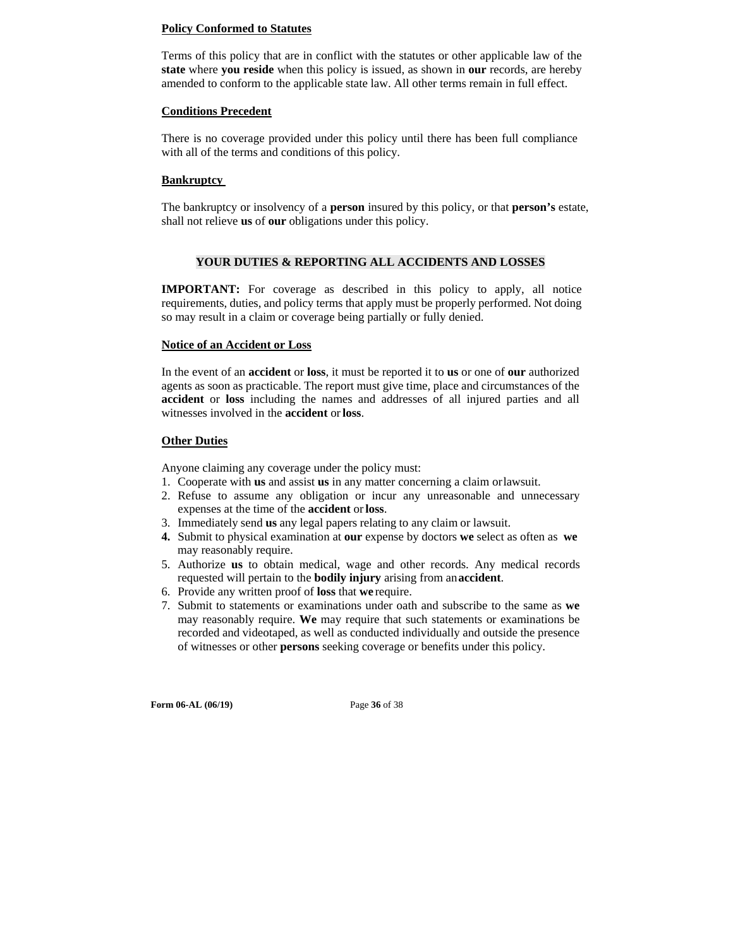#### **Policy Conformed to Statutes**

Terms of this policy that are in conflict with the statutes or other applicable law of the **state** where **you reside** when this policy is issued, as shown in **our** records, are hereby amended to conform to the applicable state law. All other terms remain in full effect.

#### **Conditions Precedent**

There is no coverage provided under this policy until there has been full compliance with all of the terms and conditions of this policy.

#### **Bankruptcy**

The bankruptcy or insolvency of a **person** insured by this policy, or that **person's** estate, shall not relieve **us** of **our** obligations under this policy.

#### **YOUR DUTIES & REPORTING ALL ACCIDENTS AND LOSSES**

**IMPORTANT:** For coverage as described in this policy to apply, all notice requirements, duties, and policy terms that apply must be properly performed. Not doing so may result in a claim or coverage being partially or fully denied.

#### **Notice of an Accident or Loss**

In the event of an **accident** or **loss**, it must be reported it to **us** or one of **our** authorized agents as soon as practicable. The report must give time, place and circumstances of the **accident** or **loss** including the names and addresses of all injured parties and all witnesses involved in the **accident** or **loss**.

### **Other Duties**

Anyone claiming any coverage under the policy must:

- 1. Cooperate with **us** and assist **us** in any matter concerning a claim or lawsuit.
- 2. Refuse to assume any obligation or incur any unreasonable and unnecessary expenses at the time of the **accident** or **loss**.
- 3. Immediately send **us** any legal papers relating to any claim or lawsuit.
- **4.** Submit to physical examination at **our** expense by doctors **we** select as often as **we**  may reasonably require.
- 5. Authorize **us** to obtain medical, wage and other records. Any medical records requested will pertain to the **bodily injury** arising from an **accident**.
- 6. Provide any written proof of **loss** that **we** require.
- 7. Submit to statements or examinations under oath and subscribe to the same as **we**  may reasonably require. **We** may require that such statements or examinations be recorded and videotaped, as well as conducted individually and outside the presence of witnesses or other **persons** seeking coverage or benefits under this policy.

**Form 06-AL (06/19)** Page **36** of 38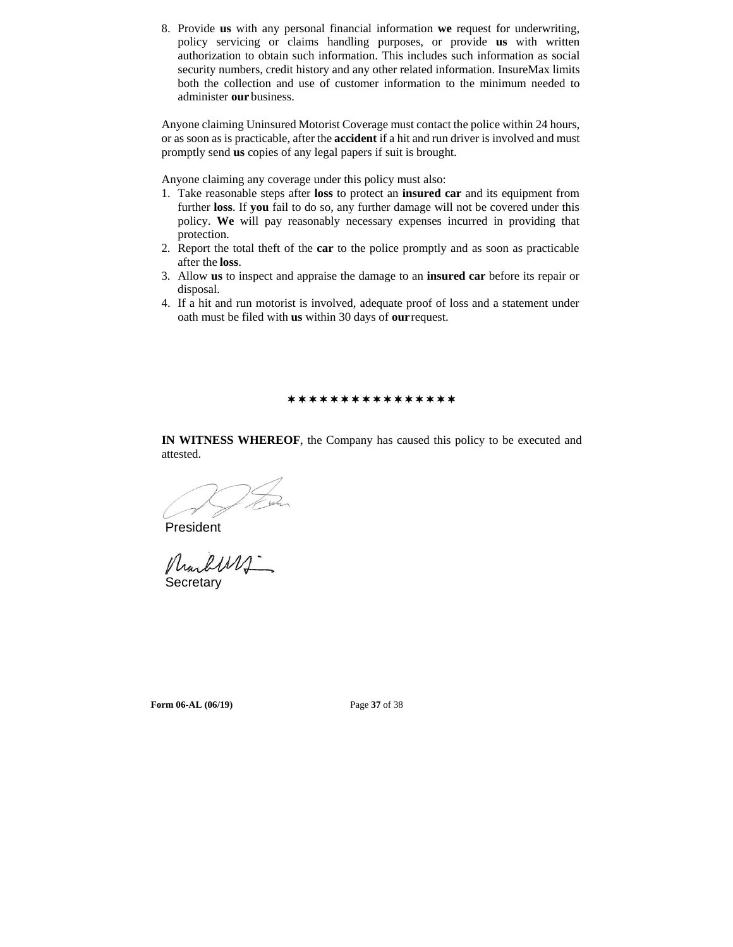8. Provide **us** with any personal financial information **we** request for underwriting, policy servicing or claims handling purposes, or provide **us** with written authorization to obtain such information. This includes such information as social security numbers, credit history and any other related information. InsureMax limits both the collection and use of customer information to the minimum needed to administer **our** business.

Anyone claiming Uninsured Motorist Coverage must contact the police within 24 hours, or as soon as is practicable, after the **accident** if a hit and run driver is involved and must promptly send **us** copies of any legal papers if suit is brought.

Anyone claiming any coverage under this policy must also:

- 1. Take reasonable steps after **loss** to protect an **insured car** and its equipment from further **loss**. If **you** fail to do so, any further damage will not be covered under this policy. **We** will pay reasonably necessary expenses incurred in providing that protection.
- 2. Report the total theft of the **car** to the police promptly and as soon as practicable after the **loss**.
- 3. Allow **us** to inspect and appraise the damage to an **insured car** before its repair or disposal.
- 4. If a hit and run motorist is involved, adequate proof of loss and a statement under oath must be filed with **us** within 30 days of **our** request.

\*\*\*\*\*\*\*\*\*\*\*\*\*\*\*\*

**IN WITNESS WHEREOF**, the Company has caused this policy to be executed and attested.

President<br>Murluy **Secretary** 

**Form 06-AL (06/19)** Page **37** of 38